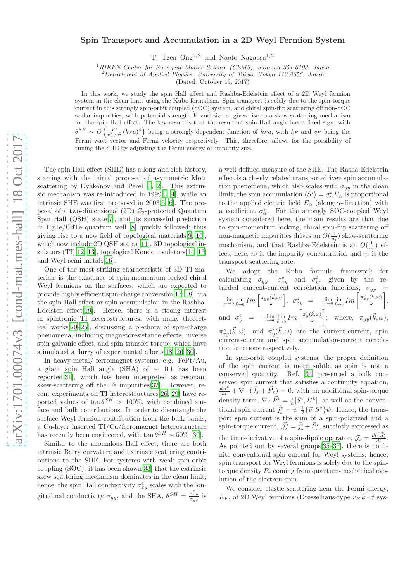### Spin Transport and Accumulation in a 2D Weyl Fermion System

T. Tzen  $\text{On}g^{1,2}$  and Naoto Nagaosa<sup>1,2</sup>

<sup>1</sup>RIKEN Center for Emergent Matter Science (CEMS), Saitama 351-0198, Japan

 $2$ Department of Applied Physics, University of Tokyo, Tokyo 113-8656, Japan

(Dated: October 19, 2017)

In this work, we study the spin Hall effect and Rashba-Edelstein effect of a 2D Weyl fermion system in the clean limit using the Kubo formalism. Spin transport is solely due to the spin-torque current in this strongly spin-orbit coupled (SOC) system, and chiral spin-flip scattering off non-SOC scalar impurities, with potential strength  $V$  and size  $a$ , gives rise to a skew-scattering mechanism for the spin Hall effect. The key result is that the resultant spin-Hall angle has a fixed sign, with  $\theta^{SH} \sim O\left(\frac{V^2}{r^2}\right)$  $\frac{V^2}{v_F^2/a^2}(k_F a)^4$  being a strongly-dependent function of  $k_F a$ , with  $k_F$  and  $v_F$  being the Fermi wave-vector and Fermi velocity respectively. This, therefore, allows for the possibility of tuning the SHE by adjusting the Fermi energy or impurity size.

The spin Hall effect (SHE) has a long and rich history, starting with the initial proposal of asymmetric Mott scattering by Dyakonov and Perel [\[1](#page-4-0), [2\]](#page-4-1). This extrinsic mechanism was re-introduced in 1999[\[3,](#page-4-2) [4\]](#page-4-3), while an intrinsic SHE was first proposed in 2003[\[5,](#page-4-4) [6\]](#page-4-5). The proposal of a two-dimensional (2D)  $Z_2$ -protected Quantum Spin Hall (QSH) state[\[7\]](#page-4-6), and its successful prediction in HgTe/CdTe quantum well [\[8\]](#page-4-7) quickly followed; thus giving rise to a new field of topological materials[\[9](#page-4-8), [10\]](#page-4-9), which now include 2D QSH states [\[11](#page-4-10)], 3D topological insulators (TI)[\[12,](#page-4-11) [13\]](#page-4-12), topological Kondo insulators[\[14](#page-4-13), [15](#page-4-14)] and Weyl semi-metals[\[16](#page-4-15)].

One of the most striking characteristic of 3D TI materials is the existence of spin-momentum locked chiral Weyl fermions on the surfaces, which are expected to provide highly efficient spin-charge conversion[\[17,](#page-4-16) [18](#page-4-17)], via the spin Hall effect or spin accumulation in the Rashba-Edelsten effect[\[19](#page-4-18)]. Hence, there is a strong interest in spintronic TI heterostructures, with many theoretical works[\[20](#page-4-19)[–25\]](#page-4-20), discussing a plethora of spin-charge phenomena, including magnetoresistance effects, inverse spin-galvanic effect, and spin-transfer torque, which have stimulated a flurry of experimental efforts[\[18](#page-4-17), [26](#page-4-21)[–30](#page-4-22)].

In heavy-metal/ ferromagnet systems, e.g. FePt/Au, a giant spin Hall angle (SHA) of  $\sim$  0.1 has been reported[\[31\]](#page-4-23), which has been interpreted as resonant skew-scattering off the Fe impurities[\[32\]](#page-4-24). However, recent experiments on TI heterostructures[\[26,](#page-4-21) [29](#page-4-25)] have reported values of  $\tan \theta^{SH} > 100\%$ , with combined surface and bulk contributions. In order to disentangle the surface Weyl fermion contribution from the bulk bands, a Cu-layer inserted TI/Cu/ferromagnet heterostructure has recently been engineered, with  $\tan \theta^{SH} \sim 50\%$  [\[30](#page-4-22)].

Similar to the anomalous Hall effect, there are both intrinsic Berry curvature and extrinsic scattering contributions to the SHE. For systems with weak spin-orbit coupling (SOC), it has been shown[\[33](#page-4-26)] that the extrinsic skew scattering mechanism dominates in the clean limit; hence, the spin Hall conductivity  $\sigma_{xy}^z$  scales with the longitudinal conductivity  $\sigma_{yy}$ , and the SHA,  $\theta^{SH} = \frac{\sigma_{xy}^2}{\sigma_{yy}}$  is a well-defined measure of the SHE. The Rasha-Edelstein effect is a closely related transport-driven spin accumulation phenomena, which also scales with  $\sigma_{yy}$  in the clean limit; the spin accumulation  $\langle S^i \rangle = \sigma^i_\alpha E_\alpha$  is proportional to the applied electric field  $E_{\alpha}$  (along  $\alpha$ -direction) with a coefficient  $\sigma_{\alpha}^{i}$ . For the strongly SOC-coupled Weyl system considered here, the main results are that due to spin-momentum locking, chiral spin-flip scattering off non-magnetic impurities drives an  $O(\frac{1}{n_i})$  skew-scattering mechanism, and that Rashba-Edelstein is an  $O(\frac{1}{\gamma_t})$  effect; here,  $n_i$  is the impurity concentration and  $\gamma_t$  is the transport scattering rate.

We adopt the Kubo formula framework for calculating  $\sigma_{yy}$ ,  $\sigma_{xy}^z$  and  $\sigma_y^i$ , given by the retarded current-current correlation functions,  $\sigma_{yy}$  =  $-\lim_{\omega\to 0}\lim_{\vec{k}\to 0}Im\left[\frac{\pi_{yy}(\vec{k},\omega)}{\omega}\right]$  $\left[\frac{(\vec{k}, \omega)}{\omega}\right], \sigma^z_{xy} = -\lim_{\omega \to 0} \lim_{\vec{k} \to 0} Im \left[ \frac{\pi^z_{xy}(\vec{k}, \omega)}{\omega} \right]$ ω , and  $\sigma_y^i = -\lim_{\omega \to 0} \lim_{\vec{k} \to 0} Im \left[ \frac{\pi_y^i(\vec{k}, \omega)}{\omega} \right]$ ω ; where,  $\pi_{yy}(\vec{k}, \omega)$ ,  $\pi_{xy}^z(\vec{k},\omega)$ , and  $\pi_y^i(\vec{k},\omega)$  are the current-current, spin current-current and spin accumulation-current correlation functions respectively.

In spin-orbit coupled systems, the proper definition of the spin current is more subtle as spin is not a conserved quantity. Ref. [\[34](#page-4-27)] presented a bulk conserved spin current that satisfies a continuity equation,  $\frac{dS^z}{dt} + \nabla \cdot (\vec{J}_s + \vec{P}_\tau) = 0$ , with an additional spin-torque density term,  $\nabla \cdot \vec{P}_{\tau}^i = \frac{i}{\hbar} [S^i, H^0]$ , as well as the conventional spin current  $\vec{j}_s^z = \psi^\dagger \frac{1}{2} {\vec{v}, S^z} \psi$ . Hence, the transport spin current is the sum of a spin-polarized and a spin-torque current,  $\vec{J}_s^i = \vec{j}_s^i + \vec{P}_\tau^i$ , succintly expressed as the time-derivative of a spin-dipole operator,  $\hat{J}_s = \frac{d(\hat{r}\hat{S})}{dt}$ . As pointed out by several groups[\[35](#page-4-28)[–37\]](#page-4-29), there is no finite conventional spin current for Weyl systems; hence, spin transport for Weyl fermions is solely due to the spintorque density  $P_{\tau}$  coming from quantum-mechanical evolution of the electron spin.

We consider elastic scattering near the Fermi energy,  $E_F$ , of 2D Weyl fermions (Dresselhaus-type  $v_F \vec{k} \cdot \vec{\sigma}$  sys-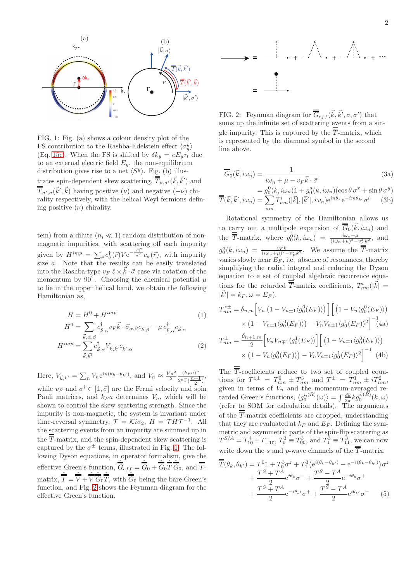<span id="page-1-0"></span>

FIG. 1: Fig. (a) shows a colour density plot of the FS contribution to the Rashba-Edelstein effect  $\langle \sigma_y^y \rangle$ (Eq. [15c\)](#page-3-0). When the FS is shifted by  $\delta k_y = e E_y \tau_t$  due to an external electric field  $E_y$ , the non-equilibrium distribution gives rise to a net  $\langle S^y \rangle$ . Fig. (b) illustrates spin-dependent skew scattering,  $\overline{\overline{T}}_{\sigma,\sigma'}(\vec{k},\vec{k}')$  and  $\overline{T}_{\sigma',\sigma}(\vec{k}',\vec{k})$  having positive  $(\nu)$  and negative  $(-\nu)$  chirality respectively, with the helical Weyl fermions defining positive  $(\nu)$  chirality.

tem) from a dilute  $(n_i \ll 1)$  random distribution of nonmagnetic impurities, with scattering off each impurity given by  $H^{imp} = \sum_{\vec{r}} c^{\dagger}_{\sigma}(\vec{r}) V e^{-\frac{|\vec{r}|^2}{a^2}} c_{\sigma}(\vec{r})$ , with impurity size  $\alpha$ . Note that the results can be easily translated into the Rashba-type  $v_F \hat{z} \times \vec{k} \cdot \vec{\sigma}$  case via rotation of the momentum by  $90°$ . Choosing the chemical potential  $\mu$ to lie in the upper helical band, we obtain the following Hamiltonian as,

$$
H = H^{0} + H^{imp}
$$
\n
$$
H^{0} = \sum_{\vec{k},\alpha,\beta} c_{\vec{k},\alpha}^{\dagger} v_{F} \vec{k} \cdot \vec{\sigma}_{\alpha,\beta} c_{\vec{k},\beta} - \mu c_{\vec{k},\alpha}^{\dagger} c_{\vec{k},\alpha}
$$
\n
$$
H^{imp} = \sum_{\vec{k},\vec{k'}} c_{\vec{k},\alpha}^{\dagger} V_{\vec{k},\vec{k'}} c_{\vec{k'},\alpha}
$$
\n(2)

Here,  $V_{\vec{k},\vec{k'}} = \sum_n V_n e^{in(\theta_k-\theta_{k'})}$ , and  $V_n \approx \frac{V_a^2}{2} \frac{(k_F a)^n}{2n\Gamma(\frac{n+1}{2})}$  $\frac{(\kappa_F a)}{2^n \Gamma(\frac{n+1}{2})},$ while  $v_F$  and  $\sigma^i \in [1, \vec{\sigma}]$  are the Fermi velocity and spin Pauli matrices, and  $k_F a$  determines  $V_n$ , which will be shown to control the skew scattering strength. Since the impurity is non-magnetic, the system is invariant under time-reversal symmetry,  $\mathcal{T} = \mathcal{K} i \sigma_2$ ,  $H = \mathcal{T} H \mathcal{T}^{-1}$ . All the scattering events from an impurity are summed up in the  $\overline{\overline{T}}$ -matrix, and the spin-dependent skew scattering is captured by the  $\sigma^{\pm}$  terms, illustrated in Fig. [1.](#page-1-0) The following Dyson equations, in operator formalism, give the effective Green's function,  $\hat{\overline{\overline{G}}}_{eff} = \hat{\overline{\overline{G}}}_{0} + \hat{\overline{\overline{G}}}_{0} \hat{\overline{\overline{T}}} \hat{\overline{\overline{G}}}_{0}$ , and  $\overline{\overline{T}}$ . matrix,  $\hat{\overline{\overline{T}}} = \hat{\overline{V}} + \hat{\overline{V}} \hat{\overline{G}}_0 \hat{\overline{\overline{T}}}$ , with  $\hat{\overline{\overline{G}}_0}$  being the bare Green's function, and Fig. [2](#page-1-1) shows the Feynman diagram for the effective Green's function.

<span id="page-1-1"></span>

FIG. 2: Feynman diagram for  $\overline{\overline{G}}_{eff}(\vec{k}, \vec{k}', \sigma, \sigma')$  that sums up the infinite set of scattering events from a single impurity. This is captured by the  $\overline{\overline{T}}$ -matrix, which is represented by the diamond symbol in the second line above.

$$
\overline{\overline{G}}_0(\vec{k}, i\omega_n) = \frac{1}{i\omega_n + \mu - v_F \vec{k} \cdot \vec{\sigma}}
$$
 (3a)

$$
= g_0^0(k, i\omega_n) \mathbb{1} + g_0^a(k, i\omega_n)(\cos \theta \sigma^x + \sin \theta \sigma^y)
$$

$$
\overline{\overline{T}}(\vec{k}, \vec{k}', i\omega_n) = \sum_{nm} T_{nm}^i(|\vec{k}|, |\vec{k}'|, i\omega_n) e^{in\theta_k} e^{-im\theta_{k'}} \sigma^i \qquad (3b)
$$

Rotational symmetry of the Hamiltonian allows us to carry out a multipole expansion of  $\overline{\overline{G}}_0(\vec{k}, i\omega_n)$  and the  $\overline{\overline{T}}$ -matrix, where  $g_0^0(k,i\omega_n) = \frac{i\omega_n+\mu}{(i\omega_n+\mu)^2-v_F^2k^2}$ , and  $g_0^a(k, i\omega_n) = \frac{v_F k}{(i\omega_n + \mu)^2 - v_F^2 k^2}$ . We assume the  $\overline{T}$ -matrix varies slowly near  $E_F$ , i.e. absence of resonances, thereby simplifying the radial integral and reducing the Dyson equation to a set of coupled algebraic recurrence equations for the retarded  $\overline{\overline{T}}$ -matrix coefficients,  $T_{nm}^i(|\vec{k}|)$  $|\vec{k}'| = k_F, \omega = E_F$ .

$$
T_{nm}^{z\pm} = \delta_{n,m} \Big[ V_n \left( 1 - V_{n\pm 1} \langle g_0^0(E_F) \rangle \right) \Big] \Big[ \left( 1 - V_n \langle g_0^0(E_F) \rangle \right) \times \left( 1 - V_{n\pm 1} \langle g_0^0(E_F) \rangle \right) - V_n V_{n\pm 1} \langle g_0^1(E_F) \rangle^2 \Big]^{-1} \text{(4a)}
$$
  

$$
T_{nm}^{\pm} = \frac{\delta_{n\mp 1,m}}{2} \Big[ V_n V_{n\mp 1} \langle g_0^1(E_F) \rangle \Big] \Big[ \left( 1 - V_{n\mp 1} \langle g_0^0(E_F) \rangle \right) \times \left( 1 - V_n \langle g_0^0(E_F) \rangle \right) - V_n V_{n\mp 1} \langle g_0^1(E_F) \rangle^2 \Big]^{-1} \text{(4b)}
$$

The  $\overline{\overline{T}}$ -coefficients reduce to two set of coupled equations for  $T^{z\pm} = T_{nm}^0 \pm T_{nm}^3$  and  $T^{\pm} = T_{nm}^1 \pm i T_{nm}^2$ , given in terms of  $V_n$  and the momentum-averaged retarded Green's functions,  $\langle g_0^{i,(R)}(\omega) \rangle = \int \frac{dk}{2\pi} k g_0^{i,(R)}(k,\omega)$ (refer to SOM for calculation details). The arguments of the  $\overline{T}$ -matrix coefficients are dropped, understanding that they are evaluated at  $k_F$  and  $E_F$ . Defining the symmetric and asymmetric parts of the spin-flip scattering as  $T^{S/A} = T_{10}^+ \pm T_{-10}^-$ ,  $T_0^3 \equiv T_{00}^3$ , and  $T_1^3 \equiv T_{11}^3$ , we can now write down the s and p-wave channels of the  $\overline{\overline{T}}$ -matrix.

$$
\overline{T}(\theta_k, \theta_{k'}) = T^0 \mathbb{1} + T_0^3 \sigma^z + T_1^3 (e^{i(\theta_k - \theta_{k'})} - e^{-i(\theta_k - \theta_{k'})}) \sigma^z \n+ \frac{T^S + T^A}{2} e^{i\theta_k} \sigma^z + \frac{T^S - T^A}{2} e^{-i\theta_k} \sigma^+ \n+ \frac{T^S + T^A}{2} e^{-i\theta_{k'}} \sigma^+ + \frac{T^S - T^A}{2} e^{i\theta_{k'}} \sigma^z
$$
\n(5)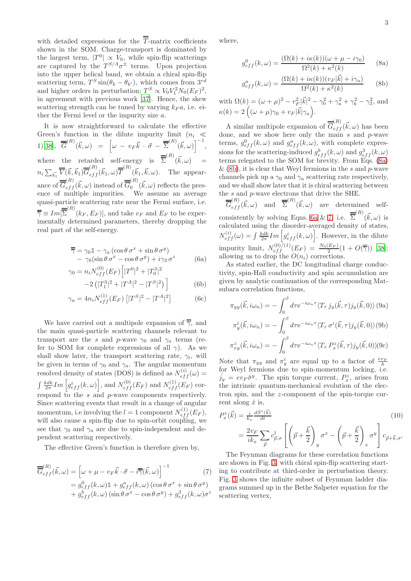with detailed expressions for the  $\overline{T}$ -matrix coefficients shown in the SOM. Charge-transport is dominated by the largest term,  $|T^0| \propto V_0$ , while spin-flip scatterings are captured by the  $T^{S/A}\sigma^{\pm}$  terms. Upon projection into the upper helical band, we obtain a chiral spin-flip scattering term,  $T^S \sin(\theta_k - \theta_{k'})$ , which comes from  $3^{rd}$ and higher orders in perturbation;  $T^S \propto V_0 V_1^2 N_0 (E_F)^2$ , in agreement with previous work [\[37\]](#page-4-29). Hence, the skew scattering strength can be tuned by varying  $k_F a$ , i.e. either the Fermi level or the impurity size a.

It is now straightforward to calculate the effective Green's function in the dilute impurity limit  $(n_i \ll$  $1)[38],\ \ \overline{\overline{G}}^{(R)}(\vec{k},\omega) \ \ = \ \ \left[ \omega \ - \ v_F \vec{k} \ \cdot \ \vec{\sigma} \ - \ \overline{\overline{\Sigma}}^{(R)}(\vec{k},\omega) \right]^{-1},$  $1)[38],\ \ \overline{\overline{G}}^{(R)}(\vec{k},\omega) \ \ = \ \ \left[ \omega \ - \ v_F \vec{k} \ \cdot \ \vec{\sigma} \ - \ \overline{\overline{\Sigma}}^{(R)}(\vec{k},\omega) \right]^{-1},$  $1)[38],\ \ \overline{\overline{G}}^{(R)}(\vec{k},\omega) \ \ = \ \ \left[ \omega \ - \ v_F \vec{k} \ \cdot \ \vec{\sigma} \ - \ \overline{\overline{\Sigma}}^{(R)}(\vec{k},\omega) \right]^{-1},$ where the retarded self-energy is  $\overline{\overline{\Sigma}}^{(R)}(\vec{k}, \omega)$  =  $n_i \sum_{\vec{k_1}} \overline{\overline{V}}(\vec{k}, \vec{k}_1) \overline{\overline{G}}_{eff}^{(R)}(\vec{k}_1, \omega) \overline{\overline{T}}^{(R)}(\vec{k}_1, \vec{k}, \omega)$ . The appearance of  $\overline{\overline{G}}_{eff}^{(R)}(\vec{k}, \omega)$  instead of  $\overline{\overline{G}}_{0}^{(R)}$  $\int_0^{(h)}(\vec{k},\omega)$  reflects the presence of multiple impurities. We assume an average quasi-particle scattering rate near the Fermi surface, i.e.  $\overline{\overline{\gamma}} \equiv Im[\overline{\overline{\Sigma}}^{(R)}(k_F, E_F)],$  and take  $v_F$  and  $E_F$  to be experimentally determined parameters, thereby dropping the real part of the self-energy.

<span id="page-2-1"></span>
$$
\overline{\overline{\gamma}} = \gamma_0 \mathbb{1} - \gamma_a \left( \cos \theta \, \sigma^x + \sin \theta \, \sigma^y \right) \n- \gamma_b \left( \sin \theta \, \sigma^x - \cos \theta \, \sigma^y \right) + i \gamma_3 \, \sigma^z
$$
\n(6a)

$$
\gamma_0 = n_i N_{eff}^{(0)}(E_F) \left[ |T^0|^2 + |T_0^3|^2 - 2\left( |T_1^3|^2 + |T^A|^2 - |T^S|^2 \right) \right]
$$
(6b)

$$
\gamma_a = 4n_i N_{eff}^{(1)}(E_F) \left[ |T^S|^2 - |T^A|^2 \right] \tag{6c}
$$

We have carried out a multipole expansion of  $\overline{7}$ , and the main quasi-particle scattering channels relevant to transport are the s and p-wave  $\gamma_0$  and  $\gamma_a$  terms (refer to SOM for complete expressions of all  $\gamma$ ). As we shall show later, the transport scattering rate,  $\gamma_t$ , will be given in terms of  $\gamma_0$  and  $\gamma_a$ . The angular momentum resolved density of states (DOS) is defined as  $N_{eff}^{(i)}(\omega)$  =  $\int \frac{kdk}{2\pi} Im \left[ g_{eff}^{i}(k,\omega) \right]$ , and  $N_{eff}^{(0)}(E_F)$  and  $N_{eff}^{(1)}(E_F)$  correspond to the s and p-wave components respectively. Since scattering events that result in a change of angular momentum, i.e involving the  $l = 1$  component  $N_{eff}^{(1)}(E_F)$ , will also cause a spin-flip due to spin-orbit coupling, we see that  $\gamma_0$  and  $\gamma_a$  are due to spin-independent and dependent scattering respectively.

The effective Green's function is therefore given by,

<span id="page-2-2"></span>
$$
\overline{\overline{G}}_{eff}^{(R)}(\vec{k},\omega) = \left[\omega + \mu - v_F \vec{k} \cdot \vec{\sigma} - i \overline{\overline{\gamma}}(\vec{k},\omega)\right]^{-1} \tag{7}
$$
\n
$$
= g_{eff}^{0}(k,\omega) \mathbb{1} + g_{eff}^{a}(k,\omega) \left(\cos \theta \sigma^{x} + \sin \theta \sigma^{y}\right)
$$
\n
$$
+ g_{eff}^{b}(k,\omega) \left(\sin \theta \sigma^{x} - \cos \theta \sigma^{y}\right) + g_{eff}^{3}(k,\omega) \sigma^{z}
$$

where,

<span id="page-2-0"></span>
$$
g_{eff}^{0}(k,\omega) = \frac{(\Omega(k) + i\kappa(k))(\omega + \mu - i\gamma_{0})}{\Omega^{2}(k) + \kappa^{2}(k)} \qquad (8a)
$$

$$
g_{eff}^{a}(k,\omega) = \frac{(\Omega(k) + i\kappa(k))(v_F|\vec{k}| + i\gamma_a)}{\Omega^2(k) + \kappa^2(k)} \qquad (8b)
$$

with  $\Omega(k) = (\omega + \mu)^2 - v_F^2 |\vec{k}|^2 - \gamma_0^2 + \gamma_a^2 + \gamma_b^2 - \gamma_3^2$ , and  $\kappa(k) = 2\left((\omega + \mu)\gamma_0 + v_F|\vec{k}|\gamma_a\right).$ 

A similar multipole expansion of  $\overline{\overline{G}}_{eff}^{(R)}(\vec{k},\omega)$  has been done, and we show here only the main  $s$  and  $p$ -wave terms,  $g_{eff}^{0}(k,\omega)$  and  $g_{eff}^{a}(k,\omega)$ , with complete expressions for the scattering-induced  $g_{eff}^{b}(k,\omega)$  and  $g_{eff}^{3}(k,\omega)$ terms relegated to the SOM for brevity. From Eqs. [\(8a\)](#page-2-0)  $\&$  [\(8b\)](#page-2-0), it is clear that Weyl fermions in the  $s$  and  $p$ -wave channels pick up a  $\gamma_0$  and  $\gamma_a$  scattering rate respectively, and we shall show later that it is chiral scattering between the s and p-wave electrons that drive the SHE.

 $\overline{\overline{G}}_{eff}^{(R)}(\vec{k}, \omega)$  and  $\overline{\overline{\Sigma}}^{(R)}(\vec{k}, \omega)$  are determined self-consistently by solving Eqns. [6a](#page-2-1) & [7,](#page-2-2) i.e.  $\overline{\overline{\Sigma}}^{(R)}(\vec{k}, \omega)$  is calculated using the disorder-averaged density of states,  $N_{eff}^{(i)}(\omega) = \int \frac{kdk}{2\pi} Im \left[ g_{eff}^{i}(k,\omega) \right]$ . However, in the dilute impurity limit,  $N_{eff}^{(0)/(1)}(E_F) = \frac{N_0(E_F)}{2}(1+O(\overline{7}))$  [\[38\]](#page-27-0); allowing us to drop the  $O(n_i)$  corrections.

As stated earlier, the DC longitudinal charge conductivity, spin-Hall conductivity and spin accumulation are given by analytic continuation of the corresponding Matsubara correlation functions,

<span id="page-2-3"></span>
$$
\pi_{yy}(\vec{k}, i\omega_n) = -\int_0^\beta d\tau e^{-i\omega_n \tau} \langle T_\tau j_y(\vec{k}, \tau) j_y(\vec{k}, 0) \rangle (9a)
$$

$$
\pi_y^i(\vec{k}, i\omega_n) = -\int_0^\beta d\tau e^{-i\omega_n \tau} \langle T_\tau \sigma^i(\vec{k}, \tau) j_y(\vec{k}, 0) \rangle (9b)
$$

$$
\pi_{xy}^z(\vec{k}, i\omega_n) = -\int_0^\beta d\tau e^{-i\omega_n \tau} \langle T_\tau P_x^z(\vec{k}, \tau) j_y(\vec{k}, 0) \rangle (9c)
$$

Note that  $\pi_{yy}$  and  $\pi_y^i$  are equal up to a factor of  $\frac{ev_F}{\hbar}$ for Weyl fermions due to spin-momentum locking, i.e.  $\hat{j}_y = ev_F \hat{\sigma}^y$ . The spin torque current,  $P_x^z$ , arises from the intrinsic quantum-mechanical evolution of the electron spin, and the z-component of the spin-torque current along  $\hat{x}$  is,

$$
P_x^z(\vec{k}) = \frac{i}{k_x} \frac{d\hat{S}^z(\vec{k})}{dt}
$$
  
= 
$$
\frac{2v_F}{ik_x} \sum_{\vec{p}} c_{\vec{p},\sigma}^{\dagger} \left[ \left( \vec{p} + \frac{\vec{k}}{2} \right)_y \sigma^x - \left( \vec{p} + \frac{\vec{k}}{2} \right)_x \sigma^y \right] c_{\vec{p} + \vec{k},\sigma'}
$$
 (10)

The Feynman diagrams for these correlation functions are shown in Fig. [3,](#page-3-1) with chiral spin-flip scattering starting to contribute at third-order in perturbation theory. Fig. [3](#page-3-1) shows the infinite subset of Feynman ladder diagrams summed up in the Bethe Salpeter equation for the scattering vertex,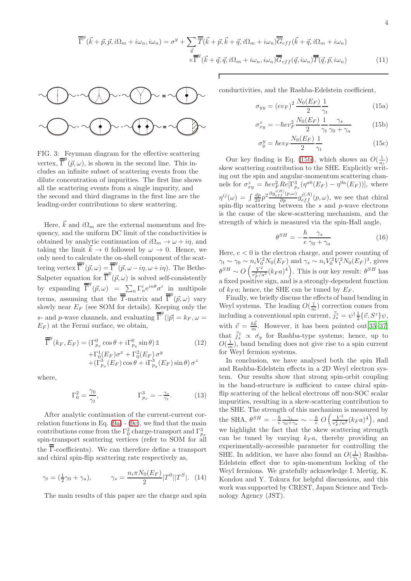$$
\overline{\overline{\Gamma}}^{y}(\vec{k}+\vec{p},\vec{p},i\Omega_{m}+i\omega_{n},i\omega_{n}) = \sigma^{y} + \sum_{\vec{q}} \overline{\overline{T}}(\vec{k}+\vec{p},\vec{k}+\vec{q},i\Omega_{m}+i\omega_{n}) \overline{\overline{G}}_{eff}(\vec{k}+\vec{q},i\Omega_{m}+i\omega_{n})
$$

$$
\times \overline{\overline{\Gamma}}^{y}(\vec{k}+\vec{q},\vec{q},i\Omega_{m}+i\omega_{n},i\omega_{n}) \overline{\overline{G}}_{eff}(\vec{q},i\omega_{n}) \overline{\overline{T}}(\vec{q},\vec{p},i\omega_{n})
$$
(11)

<span id="page-3-1"></span>

FIG. 3: Feynman diagram for the effective scattering vertex,  $\overline{\overline{\Gamma}}^{y}(\overline{p},\omega)$ , is shown in the second line. This includes an infinite subset of scattering events from the dilute concentration of impurities. The first line shows all the scattering events from a single impurity, and the second and third diagrams in the first line are the leading-order contributions to skew scattering.

Here,  $\vec{k}$  and  $i\Omega_m$  are the external momentum and frequency, and the uniform DC limit of the conductivities is obtained by analytic continuation of  $i\Omega_m \to \omega + i\eta$ , and taking the limit  $\vec{k} \to 0$  followed by  $\omega \to 0$ . Hence, we only need to calculate the on-shell component of the scattering vertex  $\overline{\overline{\Gamma}}^y(\vec{p}, \omega) = \overline{\overline{\Gamma}}^y(\vec{p}, \omega - i\eta, \omega + i\eta)$ . The Bethe-Salpeter equation for  $\overline{\overline{\Gamma}}^y(\vec{p}, \omega)$  is solved self-consistently by expanding  $\overline{\overline{\Gamma}}^{y}(\vec{p}, \omega) = \sum_{n} \Gamma_n^i e^{in\theta} \sigma^i$  in multipole terms, assuming that the  $\overline{\overline{T}}$ -matrix and  $\overline{\overline{\Gamma}}^{y}(\vec{p}, \omega)$  vary slowly near  $E_F$  (see SOM for details). Keeping only the s- and p-wave channels, and evaluating  $\overline{\overline{F}}^y(\vert \vec{p} \vert = k_F, \omega =$  $E_F$ ) at the Fermi surface, we obtain,

$$
\overline{\overline{\Gamma}}^{y}(k_{F}, E_{F}) = (\Gamma^{0}_{p_{x}} \cos \theta + i \Gamma^{0}_{p_{y}} \sin \theta) \mathbb{1}
$$
\n
$$
+ \Gamma^{1}_{0}(E_{F})\sigma^{x} + \Gamma^{2}_{0}(E_{F})\sigma^{y}
$$
\n
$$
+ (\Gamma^{3}_{p_{x}}(E_{F}) \cos \theta + i \Gamma^{3}_{p_{y}}(E_{F}) \sin \theta) \sigma^{z}
$$
\n(12)

where,

$$
\Gamma_0^2 = \frac{\gamma_0}{\gamma_t}, \qquad \Gamma_{p_x}^3 = -\frac{\gamma_s}{\gamma_t}. \qquad (13)
$$

After analytic continuation of the current-current correlation functions in Eq.  $(9a) - (9c)$  $(9a) - (9c)$ , we find that the main contributions come from the  $\Gamma_0^2$  charge-transport and  $\Gamma_{p_x}^3$ <br>spin-transport scattering vertices (refer to SOM for all the  $\overline{\overline{\Gamma}}$ -coefficients). We can therefore define a transport and chiral spin-flip scattering rate respectively as,

$$
\gamma_t = (\frac{1}{2}\gamma_0 + \gamma_a), \qquad \gamma_s = \frac{n_i \pi N_0(E_F)}{2} |T^0||T^S|.
$$
 (14)

The main results of this paper are the charge and spin

conductivities, and the Rashba-Edelstein coefficient,

<span id="page-3-0"></span>
$$
\sigma_{yy} = (ev_F)^2 \frac{N_0(E_F)}{2} \frac{1}{\gamma_t} \tag{15a}
$$

$$
\sigma_{xy}^z = -\hbar ev_F^2 \frac{N_0(E_F)}{2} \frac{1}{\gamma_t} \frac{\gamma_s}{\gamma_0 + \gamma_a} \tag{15b}
$$

$$
\sigma_y^y = \hbar ev_F \frac{N_0(E_F)}{2} \frac{1}{\gamma_t} \tag{15c}
$$

Our key finding is Eq. [\(15b\)](#page-3-0), which shows an  $O(\frac{1}{n_i})$ skew scattering contribution to the SHE. Explicitly writing out the spin and angular-momentum scattering channels for  $\sigma_{xy}^z = \hbar e v_F^2 Re[\Gamma_{p_x}^3(\eta^{a0}(E_F) - \eta^{0a}(E_F))],$  where  $\eta^{ij}(\omega) = \int \frac{dp}{2\pi} p^2 \frac{\partial g_{eff}^{i(R)}(p,\omega)}{\partial p} g_{eff}^{j(A)}(p,\omega)$ , we see that chiral spin-flip scattering between the s and p-wave electrons is the cause of the skew-scattering mechanism, and the strength of which is measured via the spin-Hall angle,

$$
\theta^{SH} = -\frac{\hbar}{e} \frac{\gamma_s}{\gamma_0 + \gamma_a} \tag{16}
$$

Here,  $e < 0$  is the electron charge, and power counting of  $\gamma_t \sim \gamma_0 \sim n_i V_0^2 N_0(E_F)$  and  $\gamma_s \sim n_i V_0^2 V_1^2 N_0(E_F)^3$ , gives  $\theta^{SH} \sim O\left(\frac{V^2}{v^2/\rho}\right)$  $\frac{V^2}{v_F^2/a^2}(k_F a)^4$ . This is our key result:  $\theta^{SH}$  has a fixed positive sign, and is a strongly-dependent function of  $k_F a$ ; hence, the SHE can be tuned by  $E_F$ .

Finally, we briefly discuss the effects of band bending in Weyl systems. The leading  $O(\frac{1}{m})$  correction comes from including a conventional spin current,  $\vec{j}_s^z = \psi^\dagger \frac{1}{2} {\vec{v}, S^z} \psi$ , with  $\vec{v} = \frac{\hbar \vec{k}}{m}$ . However, it has been pointed out [\[35](#page-4-28)[–37\]](#page-4-29) that  $\vec{j}_s^z \propto \dot{\sigma}_y$  for Rashba-type systems; hence, up to  $O(\frac{1}{m})$ , band bending does not give rise to a spin current for Weyl fermion systems.

In conclusion, we have analysed both the spin Hall and Rashba-Edelstein effects in a 2D Weyl electron system. Our results show that strong spin-orbit coupling in the band-structure is sufficient to cause chiral spinflip scattering of the helical electrons off non-SOC scalar impurities, resulting in a skew-scattering contribution to the SHE. The strength of this mechanism is measured by the SHA,  $\theta^{SH} = -\frac{\hbar}{e}$  $\frac{\hbar}{e}\frac{\gamma_s}{\gamma_0+\gamma_a}\sim -\frac{\hbar}{e}\;O\left(\frac{V^2}{v_F^2/\alpha}\right)$  $\frac{V^2}{v_F^2/a^2} (k_F a)^4$ , and we highlight the fact that the skew scattering strength can be tuned by varying  $k_F a$ , thereby providing an experimentally-accessible parameter for controlling the SHE. In addition, we have also found an  $O(\frac{1}{\gamma t})$  Rashba-Edelstein effect due to spin-momentum locking of the Weyl fermions. We gratefully acknowledge I. Mertig, K. Kondou and Y. Tokura for helpful discussions, and this work was supported by CREST, Japan Science and Technology Agency (JST).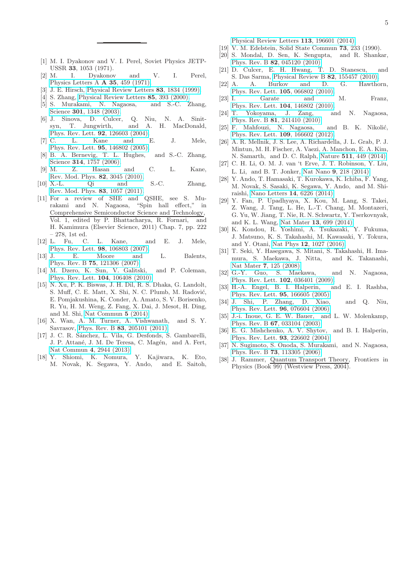- <span id="page-4-0"></span>[1] M. I. Dyakonov and V. I. Perel, Soviet Physics JETP-USSR 33, 1053 (1971).
- <span id="page-4-1"></span>[2] M. I. Dyakonov and V. I. Perel, [Physics Letters A](http://dx.doi.org/10.1016/0375-9601(71)90196-4) A 35, 459 (1971).
- <span id="page-4-2"></span>[3] J. E. Hirsch, [Physical Review Letters](http://link.aps.org/doi/10.1103/PhysRevLett.83.1834) 83, 1834 (1999).
- <span id="page-4-3"></span>[4] S. Zhang, [Physical Review Letters](http://link.aps.org/doi/10.1103/PhysRevLett.85.393) 85, 393 (2000).
- <span id="page-4-4"></span>[5] S. Murakami, N. Nagaosa, and S.-C. Zhang, Science **301**[, 1348 \(2003\).](http://dx.doi.org/10.1126/science.1087128)
- <span id="page-4-5"></span>[6] J. Sinova, D. Culcer, Q. Niu, N. A. Sinitand A. H. MacDonald, [Phys. Rev. Lett.](http://dx.doi.org/ 10.1103/PhysRevLett.92.126603) 92, 126603 (2004).
- <span id="page-4-6"></span>[7] C. L. Kane and E. J. Mele, [7] C. L. Kane and 1 [Phys. Rev. Lett.](http://dx.doi.org/10.1103/PhysRevLett.95.146802)  $95, 146802$  (2005).
- <span id="page-4-7"></span>[8] B. A. Bernevig, T. L. Hughes, and S.-C. Zhang, Science **314**[, 1757 \(2006\).](http://dx.doi.org/10.1126/science.1133734)
- <span id="page-4-8"></span>[9] M. Z. Hasan and C. L. Kane, [Rev. Mod. Phys.](http://dx.doi.org/10.1103/RevModPhys.82.3045) 82, 3045 (2010).
- <span id="page-4-9"></span>[10] X.-L. Qi and S.-C. Zhang, [Rev. Mod. Phys.](http://dx.doi.org/10.1103/RevModPhys.83.1057) 83, 1057 (2011).
- <span id="page-4-10"></span>[11] For a review of SHE and QSHE, see S. Murakami and N. Nagaosa, "Spin hall effect," in Comprehensive Semiconductor Science and Technology, Vol. 1, edited by P. Bhattacharya, R. Fornari, and H. Kamimura (Elsevier Science, 2011) Chap. 7, pp. 222 – 278, 1st ed.
- <span id="page-4-11"></span>[12] L. Fu, C. L. Kane, and E. J. Mele, [Phys. Rev. Lett.](http://dx.doi.org/10.1103/PhysRevLett.98.106803) 98, 106803 (2007).
- <span id="page-4-12"></span>[13] J. E. Moore and L. Balents, Phys. Rev. B 75[, 121306 \(2007\).](http://dx.doi.org/10.1103/PhysRevB.75.121306)
- <span id="page-4-13"></span>[14] M. Dzero, K. Sun, V. Galitski, and P. Coleman, [Phys. Rev. Lett.](http://dx.doi.org/ 10.1103/PhysRevLett.104.106408) 104, 106408 (2010).
- <span id="page-4-14"></span>[15] N. Xu, P. K. Biswas, J. H. Dil, R. S. Dhaka, G. Landolt, S. Muff, C. E. Matt, X. Shi, N. C. Plumb, M. Radović, E. Pomjakushina, K. Conder, A. Amato, S. V. Borisenko, R. Yu, H. M. Weng, Z. Fang, X. Dai, J. Mesot, H. Ding, and M. Shi, [Nat Commun](http://dx.doi.org/10.1038/ncomms5566) 5 (2014).
- <span id="page-4-15"></span>[16] X. Wan, A. M. Turner, A. Vishwanath, and S. Y. Savrasov, Phys. Rev. B 83[, 205101 \(2011\).](http://dx.doi.org/10.1103/PhysRevB.83.205101)
- <span id="page-4-16"></span>[17] J. C. R. Sánchez, L. Vila, G. Desfonds, S. Gambarelli, J. P. Attané, J. M. De Teresa, C. Magén, and A. Fert, [Nat Commun](http://dx.doi.org/10.1038/ncomms3944) 4, 2944 (2013).
- <span id="page-4-17"></span>[18] Y. Shiomi, K. Nomura, Y. Kajiwara, K. Eto, M. Novak, K. Segawa, Y. Ando, and E. Saitoh,

[Physical Review Letters](http://link.aps.org/doi/10.1103/PhysRevLett.113.196601) 113, 196601 (2014).

- <span id="page-4-18"></span>[19] V. M. Edelstein, Solid State Commun 73, 233 (1990).
- <span id="page-4-19"></span>[20] S. Mondal, D. Sen, K. Sengupta, and R. Shankar, Phys. Rev. B 82[, 045120 \(2010\).](http://dx.doi.org/10.1103/PhysRevB.82.045120)
- [21] D. Culcer, E. H. Hwang, T. D. Stanescu, and S. Das Sarma, [Physical Review B](http://link.aps.org/doi/10.1103/PhysRevB.82.155457) 82, 155457 (2010).
- [22] A. A. Burkov and D. G. Hawthorn, [Phys. Rev. Lett.](http://dx.doi.org/10.1103/PhysRevLett.105.066802) 105, 066802 (2010).
- [23] I. Garate and M. Franz, [Phys. Rev. Lett.](http://dx.doi.org/10.1103/PhysRevLett.104.146802) 104, 146802 (2010).
- [24] T. Yokoyama, J. Zang, and N. Nagaosa, Phys. Rev. B 81[, 241410 \(2010\).](http://dx.doi.org/10.1103/PhysRevB.81.241410)
- <span id="page-4-20"></span>[25] F. Mahfouzi, N. Nagaosa, and B. K. Nikolić, [Phys. Rev. Lett.](http://dx.doi.org/ 10.1103/PhysRevLett.109.166602) 109, 166602 (2012).
- <span id="page-4-21"></span>[26] A. R. Mellnik, J. S. Lee, A. Richardella, J. L. Grab, P. J. Mintun, M. H. Fischer, A. Vaezi, A. Manchon, E. A. Kim, N. Samarth, and D. C. Ralph, Nature 511[, 449 \(2014\).](http://dx.doi.org/10.1038/nature13534)
- [27] C. H. Li, O. M. J. van 't Erve, J. T. Robinson, Y. Liu, L. Li, and B. T. Jonker, Nat Nano 9[, 218 \(2014\).](http://dx.doi.org/10.1038/nnano.2014.16)
- [28] Y. Ando, T. Hamasaki, T. Kurokawa, K. Ichiba, F. Yang, M. Novak, S. Sasaki, K. Segawa, Y. Ando, and M. Shiraishi, [Nano Letters](http://dx.doi.org/10.1021/nl502546c) 14, 6226 (2014).
- <span id="page-4-25"></span>[29] Y. Fan, P. Upadhyaya, X. Kou, M. Lang, S. Takei, Z. Wang, J. Tang, L. He, L.-T. Chang, M. Montazeri, G. Yu, W. Jiang, T. Nie, R. N. Schwartz, Y. Tserkovnyak, and K. L. Wang, Nat Mater 13[, 699 \(2014\).](http://dx.doi.org/10.1038/nmat3973)
- <span id="page-4-22"></span>[30] K. Kondou, R. Yoshimi, A. Tsukazaki, Y. Fukuma, J. Matsuno, K. S. Takahashi, M. Kawasaki, Y. Tokura, and Y. Otani, Nat Phys 12[, 1027 \(2016\).](http://dx.doi.org/10.1038/nphys3833)
- <span id="page-4-23"></span>[31] T. Seki, Y. Hasegawa, S. Mitani, S. Takahashi, H. Imamura, S. Maekawa, J. Nitta, and K. Takanashi, Nat Mater 7[, 125 \(2008\).](http://dx.doi.org/10.1038/nmat2098)
- <span id="page-4-24"></span>[32] G.-Y. Guo, S. Maekawa, and N. Nagaosa, [Phys. Rev. Lett.](http://dx.doi.org/10.1103/PhysRevLett.102.036401) **102**, 036401 (2009).<br>H.-A. Engel, B. I. Halperin, and E. I. Rashba,
- <span id="page-4-26"></span> $[33]$  H.-A. Engel, B. I. Halperin, [Phys. Rev. Lett.](http://dx.doi.org/10.1103/PhysRevLett.95.166605) 95, 166605 (2005).
- <span id="page-4-27"></span>[34] J. Shi, P. Zhang, D. Xiao, and Q. Niu, [Phys. Rev. Lett.](http://dx.doi.org/ 10.1103/PhysRevLett.96.076604) 96, 076604 (2006).
- <span id="page-4-28"></span>[35] J.-i. Inoue, G. E. W. Bauer, and L. W. Molenkamp, Phys. Rev. B 67[, 033104 \(2003\).](http://dx.doi.org/10.1103/PhysRevB.67.033104)
- [36] E. G. Mishchenko, A. V. Shytov, and B. I. Halperin, [Phys. Rev. Lett.](http://dx.doi.org/10.1103/PhysRevLett.93.226602) 93, 226602 (2004).
- <span id="page-4-29"></span>[37] N. Sugimoto, S. Onoda, S. Murakami, and N. Nagaosa, Phys. Rev. B 73[, 113305 \(2006\).](http://dx.doi.org/10.1103/PhysRevB.73.113305)
- [38] J. Rammer, Quantum Transport Theory, Frontiers in Physics (Book 99) (Westview Press, 2004).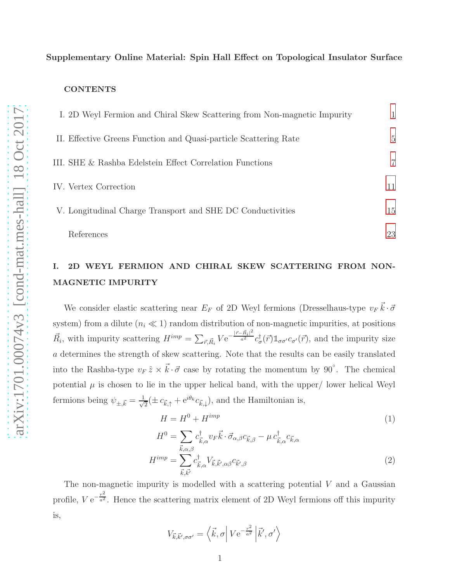### **CONTENTS**

| I. 2D Weyl Fermion and Chiral Skew Scattering from Non-magnetic Impurity | 1  |
|--------------------------------------------------------------------------|----|
| II. Effective Greens Function and Quasi-particle Scattering Rate         | 5  |
| III. SHE & Rashba Edelstein Effect Correlation Functions                 | 7  |
| IV. Vertex Correction                                                    | 11 |
| V. Longitudinal Charge Transport and SHE DC Conductivities               | 15 |
| References                                                               | 23 |

# <span id="page-5-0"></span>I. 2D WEYL FERMION AND CHIRAL SKEW SCATTERING FROM NON-MAGNETIC IMPURITY

We consider elastic scattering near  $E_F$  of 2D Weyl fermions (Dresselhaus-type  $v_F \vec{k} \cdot \vec{\sigma}$ system) from a dilute  $(n_i \ll 1)$  random distribution of non-magnetic impurities, at positions  $\vec{R}_i$ , with impurity scattering  $H^{imp} = \sum_{\vec{r}, \vec{R}_i} V e^{-\frac{|\vec{r} - \vec{R}_i|^2}{a^2}} c^{\dagger}_{\sigma}(\vec{r}) \mathbb{1}_{\sigma \sigma'} c_{\sigma'}(\vec{r})$ , and the impurity size a determines the strength of skew scattering. Note that the results can be easily translated into the Rashba-type  $v_F \hat{z} \times \vec{k} \cdot \vec{\sigma}$  case by rotating the momentum by 90°. The chemical potential  $\mu$  is chosen to lie in the upper helical band, with the upper/ lower helical Weyl fermions being  $\psi_{\pm,\vec{k}} = \frac{1}{\sqrt{k}}$  $\frac{1}{2}(\pm c_{\vec{k},\uparrow} + e^{i\theta_k} c_{\vec{k},\downarrow}),$  and the Hamiltonian is,

$$
H = H^0 + H^{imp} \tag{1}
$$

$$
H^{0} = \sum_{\vec{k},\alpha,\beta} c^{\dagger}_{\vec{k},\alpha} v_{F} \vec{k} \cdot \vec{\sigma}_{\alpha,\beta} c_{\vec{k},\beta} - \mu c^{\dagger}_{\vec{k},\alpha} c_{\vec{k},\alpha}
$$

$$
H^{imp} = \sum_{\vec{k},\vec{k'}} c^{\dagger}_{\vec{k},\alpha} V_{\vec{k},\vec{k'},\alpha\beta} c_{\vec{k'},\beta} \tag{2}
$$

The non-magnetic impurity is modelled with a scattering potential  $V$  and a Gaussian profile,  $V e^{-\frac{r^2}{a^2}}$  $\frac{1}{a^2}$ . Hence the scattering matrix element of 2D Weyl fermions off this impurity is,

$$
V_{\vec{k},\vec{k}',\sigma\sigma'} = \left\langle \vec{k},\sigma \right| V e^{-\frac{r^2}{a^2}} \left| \vec{k}',\sigma' \right\rangle
$$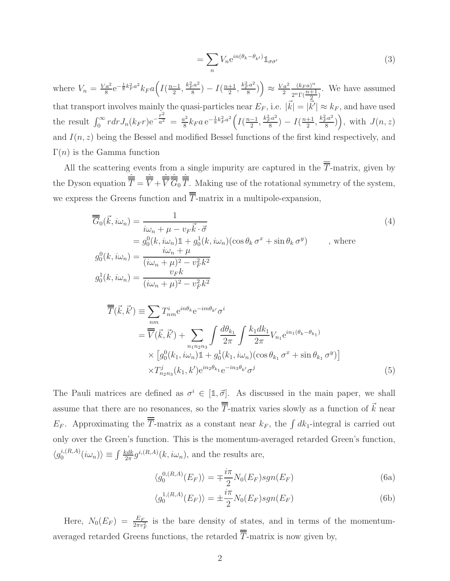$$
=\sum_{n} V_{n} e^{in(\theta_{k} - \theta_{k'})} \mathbb{1}_{\sigma\sigma'} \tag{3}
$$

where  $V_n = \frac{Va^2}{8}$  $\frac{a^2}{8}e^{-\frac{1}{8}k_F^2a^2}k_Fa\left(I(\frac{n-1}{2},\frac{k_F^2a^2}{8}\right)$  $(\frac{n+1}{8})-I(\frac{n+1}{2})$  $\frac{k_F^2 a^2}{8}$  $(\frac{1}{8}a^2)\bigg)\approx \frac{Va^2}{2}$ 2  $(k_F a)^n$  $\frac{\frac{(k_F a)^n}{2^n \Gamma(\frac{n+1}{2})}}{2^n}$ . We have assumed that transport involves mainly the quasi-particles near  $E_F$ , i.e.  $|\vec{k}| = |\vec{k'}| \approx k_F$ , and have used the result  $\int_0^\infty r dr J_n(k_F r) e^{-\frac{r^2}{a^2}}$  $\frac{a^2}{a^2} = \frac{a^2}{8}$  $\frac{a^2}{8}k_F a e^{-\frac{1}{8}k_F^2 a^2}\left(I(\frac{n-1}{2},\frac{k_F^2 a^2}{8}\right)$  $(\frac{n+1}{8})-I(\frac{n+1}{2})$  $\frac{k_F^2 a^2}{8}$  $\left(\frac{1}{8}a^2\right)$ , with  $J(n,z)$ and  $I(n, z)$  being the Bessel and modified Bessel functions of the first kind respectively, and  $\Gamma(n)$  is the Gamma function

All the scattering events from a single impurity are captured in the  $\overline{\overline{T}}$ -matrix, given by the Dyson equation  $\hat{\overline{T}} = \hat{\overline{V}} + \hat{\overline{V}} \hat{\overline{G}}_0 \hat{\overline{T}}$ . Making use of the rotational symmetry of the system, we express the Greens function and  $\overline{\overline{T}}$ -matrix in a multipole-expansion,

$$
\overline{\overline{G}}_0(\vec{k}, i\omega_n) = \frac{1}{i\omega_n + \mu - v_F \vec{k} \cdot \vec{\sigma}}
$$
\n
$$
= g_0^0(k, i\omega_n) \mathbb{1} + g_0^1(k, i\omega_n) (\cos \theta_k \sigma^x + \sin \theta_k \sigma^y) \qquad , \text{ where}
$$
\n
$$
g_0^0(k, i\omega_n) = \frac{i\omega_n + \mu}{(i\omega_n + \mu)^2 - v_F^2 k^2}
$$
\n
$$
g_0^1(k, i\omega_n) = \frac{v_F k}{(i\omega_n + \mu)^2 - v_F^2 k^2}
$$
\n(4)

<span id="page-6-0"></span>
$$
\overline{T}(\vec{k}, \vec{k}') \equiv \sum_{nm} T_{nm}^{i} e^{in\theta_k} e^{-im\theta_{k'}} \sigma^i
$$
\n
$$
= \overline{\overline{V}}(\vec{k}, \vec{k}') + \sum_{n_1 n_2 n_3} \int \frac{d\theta_{k_1}}{2\pi} \int \frac{k_1 dk_1}{2\pi} V_{n_1} e^{in_1(\theta_k - \theta_{k_1})}
$$
\n
$$
\times \left[ g_0^0(k_1, i\omega_n) \mathbb{1} + g_0^1(k_1, i\omega_n) (\cos \theta_{k_1} \sigma^x + \sin \theta_{k_1} \sigma^y) \right]
$$
\n
$$
\times T_{n_2 n_3}^j(k_1, k') e^{in_2\theta_{k_1}} e^{-in_3\theta_{k'}} \sigma^j
$$
\n(5)

The Pauli matrices are defined as  $\sigma^i \in [1, \vec{\sigma}]$ . As discussed in the main paper, we shall assume that there are no resonances, so the  $\overline{\overline{T}}$ -matrix varies slowly as a function of  $\vec{k}$  near  $E_F$ . Approximating the  $\overline{T}$ -matrix as a constant near  $k_F$ , the  $\int dk_1$ -integral is carried out only over the Green's function. This is the momentum-averaged retarded Green's function,  $\langle g_0^{i,(R,A)}$  $\langle i^{(R,A)}_0(i\omega_n)\rangle \equiv \int \frac{kdk}{2\pi}$  $\frac{edk}{2\pi}g^{i,(R,A)}(k,i\omega_n)$ , and the results are,

$$
\langle g_0^{0,(R,A)}(E_F) \rangle = \mp \frac{i\pi}{2} N_0(E_F) sgn(E_F)
$$
\n(6a)

$$
\langle g_0^{1,(R,A)}(E_F) \rangle = \pm \frac{i\pi}{2} N_0(E_F) sgn(E_F)
$$
\n(6b)

Here,  $N_0(E_F) = \frac{E_F}{2\pi v_F^2}$  is the bare density of states, and in terms of the momentumaveraged retarded Greens functions, the retarded  $\overline{\overline{T}}$ -matrix is now given by,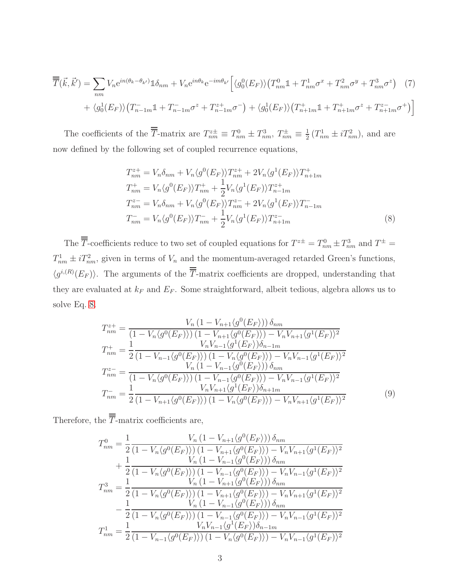$$
\overline{\overline{T}}(\vec{k}, \vec{k}') = \sum_{nm} V_n e^{in(\theta_k - \theta_{k'})} \mathbb{1}\delta_{nm} + V_n e^{in\theta_k} e^{-im\theta_{k'}} \Big[ \langle g_0^0(E_F) \rangle \big( T_{nm}^0 \mathbb{1} + T_{nm}^1 \sigma^x + T_{nm}^2 \sigma^y + T_{nm}^3 \sigma^z \big) \tag{7}
$$
\n
$$
+ \langle g_0^1(E_F) \rangle \big( T_{n-1m}^- \mathbb{1} + T_{n-1m}^- \sigma^z + T_{n-1m}^{z+} \sigma^- \big) + \langle g_0^1(E_F) \rangle \big( T_{n+1m}^+ \mathbb{1} + T_{n+1m}^+ \sigma^z + T_{n+1m}^{z-} \sigma^+ \big) \Big]
$$

The coefficients of the  $\overline{T}$ -matrix are  $T_{nm}^{z\pm} \equiv T_{nm}^0 \pm T_{nm}^3$ ,  $T_{nm}^{\pm} \equiv \frac{1}{2}$  $\frac{1}{2} (T_{nm}^1 \pm i T_{nm}^2)$ , and are now defined by the following set of coupled recurrence equations,

<span id="page-7-0"></span>
$$
T_{nm}^{z+} = V_n \delta_{nm} + V_n \langle g^0(E_F) \rangle T_{nm}^{z+} + 2V_n \langle g^1(E_F) \rangle T_{n+1m}^+
$$
  
\n
$$
T_{nm}^+ = V_n \langle g^0(E_F) \rangle T_{nm}^+ + \frac{1}{2} V_n \langle g^1(E_F) \rangle T_{n-1m}^{z+}
$$
  
\n
$$
T_{nm}^{z-} = V_n \delta_{nm} + V_n \langle g^0(E_F) \rangle T_{nm}^{z-} + 2V_n \langle g^1(E_F) \rangle T_{n-1m}^-
$$
  
\n
$$
T_{nm}^- = V_n \langle g^0(E_F) \rangle T_{nm}^- + \frac{1}{2} V_n \langle g^1(E_F) \rangle T_{n+1m}^{z-}
$$
\n(8)

The  $\overline{T}$ -coefficients reduce to two set of coupled equations for  $T^{z\pm} = T_{nm}^0 \pm T_{nm}^3$  and  $T^{\pm} = T_{nm}^3$  $T_{nm}^1 \pm i T_{nm}^2$ , given in terms of  $V_n$  and the momentum-averaged retarded Green's functions,  $\langle g^{i,(R)}(E_F) \rangle$ . The arguments of the  $\overline{T}$ -matrix coefficients are dropped, understanding that they are evaluated at  $k_F$  and  $E_F$ . Some straightforward, albeit tedious, algebra allows us to solve Eq. [8.](#page-7-0)

$$
T_{nm}^{z+} = \frac{V_n (1 - V_{n+1} \langle g^0(E_F) \rangle) \delta_{nm}}{(1 - V_n \langle g^0(E_F) \rangle) (1 - V_{n+1} \langle g^0(E_F) \rangle) - V_n V_{n+1} \langle g^1(E_F) \rangle^2}
$$
  
\n
$$
T_{nm}^+ = \frac{1}{2} \frac{V_n V_{n-1} \langle g^1(E_F) \rangle \delta_{n-1m}}{(1 - V_{n-1} \langle g^0(E_F) \rangle) (1 - V_n \langle g^0(E_F) \rangle) - V_n V_{n-1} \langle g^1(E_F) \rangle^2}
$$
  
\n
$$
T_{nm}^{z-} = \frac{V_n (1 - V_{n-1} \langle g^0(E_F) \rangle) \delta_{nm}}{(1 - V_n \langle g^0(E_F) \rangle) (1 - V_{n-1} \langle g^0(E_F) \rangle) - V_n V_{n-1} \langle g^1(E_F) \rangle^2}
$$
  
\n
$$
T_{nm}^- = \frac{1}{2} \frac{V_n V_{n+1} \langle g^1(E_F) \rangle \delta_{n+1m}}{(1 - V_{n+1} \langle g^0(E_F) \rangle) (1 - V_n \langle g^0(E_F) \rangle) - V_n V_{n+1} \langle g^1(E_F) \rangle^2}
$$
  
\n(9)

Therefore, the  $\overline{\overline{T}}$ -matrix coefficients are,

$$
T_{nm}^{0} = \frac{1}{2} \frac{V_n (1 - V_{n+1} \langle g^0(E_F) \rangle) \delta_{nm}}{(1 - V_n \langle g^0(E_F) \rangle) (1 - V_{n+1} \langle g^0(E_F) \rangle) - V_n V_{n+1} \langle g^1(E_F) \rangle^2} + \frac{1}{2} \frac{V_n (1 - V_{n-1} \langle g^0(E_F) \rangle) - V_n V_{n+1} \langle g^1(E_F) \rangle^2}{(1 - V_n \langle g^0(E_F) \rangle) (1 - V_{n-1} \langle g^0(E_F) \rangle) - V_n V_{n-1} \langle g^1(E_F) \rangle^2} T_{nm}^{3} = \frac{1}{2} \frac{V_n (1 - V_{n+1} \langle g^0(E_F) \rangle) \delta_{nm}}{(1 - V_n \langle g^0(E_F) \rangle) (1 - V_{n+1} \langle g^0(E_F) \rangle) - V_n V_{n+1} \langle g^1(E_F) \rangle^2} - \frac{1}{2} \frac{V_n (1 - V_{n-1} \langle g^0(E_F) \rangle) \delta_{nm}}{(1 - V_n \langle g^0(E_F) \rangle) (1 - V_{n-1} \langle g^0(E_F) \rangle) - V_n V_{n-1} \langle g^1(E_F) \rangle^2} T_{nm}^{1} = \frac{1}{2} \frac{V_n V_{n-1} \langle g^1(E_F) \rangle \delta_{n-1m}}{(1 - V_{n-1} \langle g^0(E_F) \rangle) (1 - V_n \langle g^0(E_F) \rangle) - V_n V_{n-1} \langle g^1(E_F) \rangle^2}
$$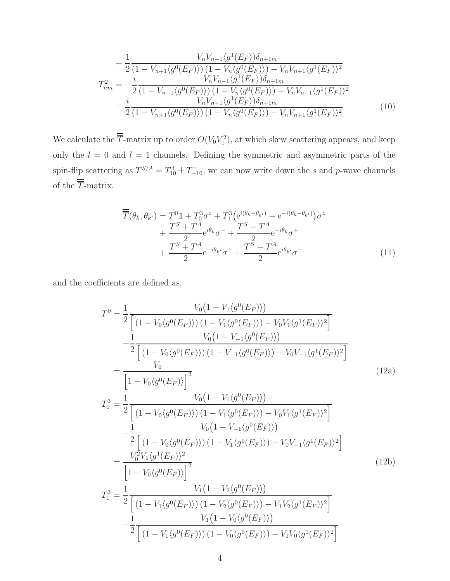$$
+\frac{1}{2} \frac{V_n V_{n+1} \langle g^1(E_F) \rangle \delta_{n+1m}}{(1 - V_{n+1} \langle g^0(E_F) \rangle) (1 - V_n \langle g^0(E_F) \rangle) - V_n V_{n+1} \langle g^1(E_F) \rangle^2}
$$
  
\n
$$
T_{nm}^2 = -\frac{i}{2} \frac{V_n V_{n-1} \langle g^1(E_F) \rangle \delta_{n-1m}}{(1 - V_{n-1} \langle g^0(E_F) \rangle) (1 - V_n \langle g^0(E_F) \rangle) - V_n V_{n-1} \langle g^1(E_F) \rangle^2}
$$
  
\n
$$
+\frac{i}{2} \frac{V_n V_{n+1} \langle g^1(E_F) \rangle \delta_{n+1m}}{(1 - V_{n+1} \langle g^0(E_F) \rangle) (1 - V_n \langle g^0(E_F) \rangle) - V_n V_{n+1} \langle g^1(E_F) \rangle^2}
$$
(10)

We calculate the  $\overline{T}$ -matrix up to order  $O(V_0V_1^2)$ , at which skew scattering appears, and keep only the  $l = 0$  and  $l = 1$  channels. Defining the symmetric and asymmetric parts of the spin-flip scattering as  $T^{S/A} = T_{10}^+ \pm T_{-10}^-$ , we can now write down the s and p-wave channels of the  $\overline{\overline{T}}\text{-matrix}.$ 

$$
\overline{\overline{T}}(\theta_k, \theta_{k'}) = T^0 \mathbb{1} + T_0^3 \sigma^z + T_1^3 \left( e^{i(\theta_k - \theta_{k'})} - e^{-i(\theta_k - \theta_{k'})} \right) \sigma^z \n+ \frac{T^S + T^A}{2} e^{i\theta_k} \sigma^- + \frac{T^S - T^A}{2} e^{-i\theta_k} \sigma^+ \n+ \frac{T^S + T^A}{2} e^{-i\theta_{k'}} \sigma^+ + \frac{T^S - T^A}{2} e^{i\theta_{k'}} \sigma^-
$$
\n(11)

and the coefficients are defined as,

$$
T^{0} = \frac{1}{2} \frac{V_{0}(1 - V_{1}\langle g^{0}(E_{F})\rangle)}{\left[(1 - V_{0}\langle g^{0}(E_{F})\rangle) (1 - V_{1}\langle g^{0}(E_{F})\rangle) - V_{0}V_{1}\langle g^{1}(E_{F})\rangle^{2}\right]} + \frac{1}{2} \frac{V_{0}(1 - V_{-1}\langle g^{0}(E_{F})\rangle)}{\left[(1 - V_{0}\langle g^{0}(E_{F})\rangle) (1 - V_{-1}\langle g^{0}(E_{F})\rangle) - V_{0}V_{-1}\langle g^{1}(E_{F})\rangle^{2}\right]} = \frac{V_{0}}{\left[1 - V_{0}\langle g^{0}(E_{F})\rangle\right]^{2}} \frac{V_{0}(1 - V_{1}\langle g^{0}(E_{F})\rangle)}{\left[(1 - V_{0}\langle g^{0}(E_{F})\rangle) (1 - V_{1}\langle g^{0}(E_{F})\rangle) - V_{0}V_{1}\langle g^{1}(E_{F})\rangle^{2}\right]} - \frac{1}{2} \frac{V_{0}(1 - V_{-1}\langle g^{0}(E_{F})\rangle)}{\left[(1 - V_{0}\langle g^{0}(E_{F})\rangle) (1 - V_{1}\langle g^{0}(E_{F})\rangle) - V_{0}V_{-1}\langle g^{1}(E_{F})\rangle^{2}\right]} = \frac{V_{0}^{2}V_{1}\langle g^{1}(E_{F})\rangle^{2}}{\left[1 - V_{0}\langle g^{0}(E_{F})\rangle\right]^{2}} \frac{V_{1}(1 - V_{2}\langle g^{0}(E_{F})\rangle)}{\left[(1 - V_{1}\langle g^{0}(E_{F})\rangle) (1 - V_{2}\langle g^{0}(E_{F})\rangle) - V_{1}V_{2}\langle g^{1}(E_{F})\rangle^{2}\right]} - \frac{1}{2} \frac{V_{1}(1 - V_{0}\langle g^{0}(E_{F})\rangle)}{\left[(1 - V_{1}\langle g^{0}(E_{F})\rangle) (1 - V_{0}\langle g^{0}(E_{F})\rangle) - V_{1}V_{0}\langle g^{1}(E_{F})\rangle^{2}\right]} - \frac{1}{2} \frac{V_{1}(1 - V_{1}\langle g^{0}(E_{F})\rangle)}{\left[(1 - V_{1}\langle g^{0}(E_{F})\rangle) (1 - V_{0}\langle g^{0}(E_{F})\rangle) - V_{1
$$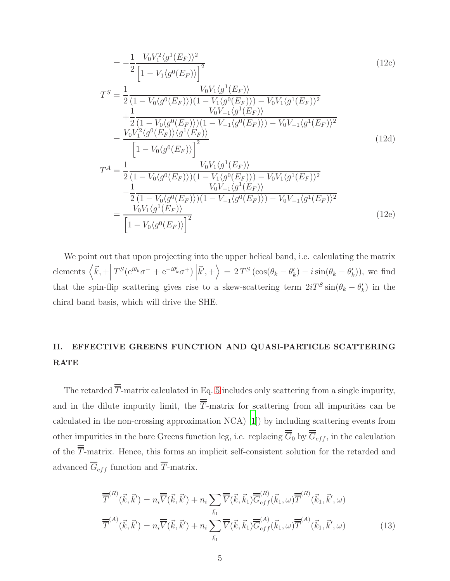$$
= -\frac{1}{2} \frac{V_0 V_1^2 \langle g^1(E_F) \rangle^2}{\left[1 - V_1 \langle g^0(E_F) \rangle\right]^2}
$$
(12c)  
\n
$$
T^S = \frac{1}{2} \frac{V_0 V_1 \langle g^1(E_F) \rangle}{(1 - V_0 \langle g^0(E_F) \rangle)(1 - V_1 \langle g^0(E_F) \rangle) - V_0 V_1 \langle g^1(E_F) \rangle^2}
$$
\n
$$
+ \frac{1}{2} \frac{V_0 V_{-1} \langle g^1(E_F) \rangle}{(1 - V_0 \langle g^0(E_F) \rangle)(1 - V_{-1} \langle g^0(E_F) \rangle) - V_0 V_{-1} \langle g^1(E_F) \rangle^2}
$$
\n
$$
= \frac{V_0 V_1^2 \langle g^0(E_F) \rangle \langle g^1(E_F) \rangle}{\left[1 - V_0 \langle g^0(E_F) \rangle\right]^2}
$$
(12d)  
\n
$$
T^A = \frac{1}{2} \frac{V_0 V_1 \langle g^1(E_F) \rangle}{(1 - V_0 \langle g^0(E_F) \rangle)(1 - V_1 \langle g^0(E_F) \rangle) - V_0 V_1 \langle g^1(E_F) \rangle^2}
$$
\n
$$
- \frac{1}{2} \frac{V_0 V_{-1} \langle g^1(E_F) \rangle}{(1 - V_0 \langle g^0(E_F) \rangle)(1 - V_{-1} \langle g^0(E_F) \rangle) - V_0 V_{-1} \langle g^1(E_F) \rangle^2}
$$
\n
$$
= \frac{V_0 V_1 \langle g^1(E_F) \rangle}{\left[1 - V_0 \langle g^0(E_F) \rangle\right]^2}
$$
(12e)

We point out that upon projecting into the upper helical band, i.e. calculating the matrix elements  $\left\langle \vec{k},+\right|$  $T^{S}(e^{i\theta_k}\sigma^{-}+e^{-i\theta'_k}\sigma^{+})\Big|$  $\vec{k}', + \rangle = 2 T^S (\cos(\theta_k - \theta'_k) - i \sin(\theta_k - \theta'_k)),$  we find that the spin-flip scattering gives rise to a skew-scattering term  $2iT^S \sin(\theta_k - \theta'_k)$  in the chiral band basis, which will drive the SHE.

## <span id="page-9-0"></span>II. EFFECTIVE GREENS FUNCTION AND QUASI-PARTICLE SCATTERING **RATE**

The retarded  $\overline{\overline{T}}$ -matrix calculated in Eq. [5](#page-6-0) includes only scattering from a single impurity, and in the dilute impurity limit, the  $\overline{\overline{T}}$ -matrix for scattering from all impurities can be calculated in the non-crossing approximation NCA) [\[1\]](#page-27-2)) by including scattering events from other impurities in the bare Greens function leg, i.e. replacing  $\overline{\overline{G}}_0$  by  $\overline{\overline{G}}_{eff}$ , in the calculation of the  $\overline{\overline{T}}$ -matrix. Hence, this forms an implicit self-consistent solution for the retarded and advanced  $\overline{\overline{G}}_{eff}$  function and  $\overline{\overline{T}}$ -matrix.

$$
\overline{\overline{T}}^{(R)}(\vec{k},\vec{k}') = n_i \overline{\overline{V}}(\vec{k},\vec{k}') + n_i \sum_{\vec{k}_1} \overline{\overline{V}}(\vec{k},\vec{k}_1) \overline{\overline{G}}^{(R)}_{eff}(\vec{k}_1,\omega) \overline{\overline{T}}^{(R)}(\vec{k}_1,\vec{k}',\omega)
$$

$$
\overline{\overline{T}}^{(A)}(\vec{k},\vec{k}') = n_i \overline{\overline{V}}(\vec{k},\vec{k}') + n_i \sum_{\vec{k}_1} \overline{\overline{V}}(\vec{k},\vec{k}_1) \overline{\overline{G}}^{(A)}_{eff}(\vec{k}_1,\omega) \overline{\overline{T}}^{(A)}(\vec{k}_1,\vec{k}',\omega)
$$
(13)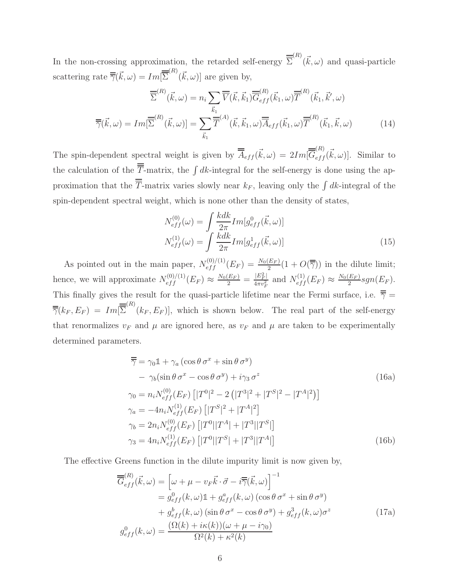In the non-crossing approximation, the retarded self-energy  $\overline{\overline{\Sigma}}^{(R)}(\vec{k}, \omega)$  and quasi-particle scattering rate  $\overline{\overline{\gamma}}(\vec{k}, \omega) = Im[\overline{\overline{\Sigma}}^{(R)}(\vec{k}, \omega)]$  are given by,

$$
\overline{\overline{\Sigma}}^{(R)}(\vec{k},\omega) = n_i \sum_{\vec{k}_1} \overline{\overline{V}}(\vec{k},\vec{k}_1) \overline{\overline{G}}^{(R)}_{eff}(\vec{k}_1,\omega) \overline{\overline{T}}^{(R)}(\vec{k}_1,\vec{k}',\omega)
$$

$$
\overline{\overline{\gamma}}(\vec{k},\omega) = Im[\overline{\overline{\Sigma}}^{(R)}(\vec{k},\omega)] = \sum_{\vec{k}_1} \overline{\overline{T}}^{(A)}(\vec{k},\vec{k}_1,\omega) \overline{\overline{A}}_{eff}(\vec{k}_1,\omega) \overline{\overline{T}}^{(R)}(\vec{k}_1,\vec{k},\omega) \qquad (14)
$$

The spin-dependent spectral weight is given by  $\overline{A}_{eff}(\vec{k}, \omega) = 2Im[\overline{\overline{G}}_{eff}^{(R)}(\vec{k}, \omega)]$ . Similar to the calculation of the  $\overline{T}$ -matrix, the  $\int dk$ -integral for the self-energy is done using the approximation that the  $\overline{T}$ -matrix varies slowly near  $k_F$ , leaving only the  $\int dk$ -integral of the spin-dependent spectral weight, which is none other than the density of states,

$$
N_{eff}^{(0)}(\omega) = \int \frac{kdk}{2\pi} Im[g_{eff}^{0}(\vec{k}, \omega)]
$$
  

$$
N_{eff}^{(1)}(\omega) = \int \frac{kdk}{2\pi} Im[g_{eff}^{1}(\vec{k}, \omega)]
$$
 (15)

As pointed out in the main paper,  $N_{eff}^{(0)/(1)}(E_F) = \frac{N_0(E_F)}{2}(1+O(\overline{\overline{\gamma}}))$  in the dilute limit; hence, we will approximate  $N_{eff}^{(0)/(1)}(E_F) \approx \frac{N_0(E_F)}{2} = \frac{|E_F^2|}{4\pi v_F^2}$  and  $N_{eff}^{(1)}(E_F) \approx \frac{N_0(E_F)}{2}$  $\frac{E_F}{2}$ sgn $(E_F)$ . This finally gives the result for the quasi-particle lifetime near the Fermi surface, i.e.  $\overline{\overline{\gamma}} =$  $\overline{\overline{\gamma}}(k_F, E_F) = Im[\overline{\overline{\Sigma}}^{(R)}(k_F, E_F)],$  which is shown below. The real part of the self-energy that renormalizes  $v_F$  and  $\mu$  are ignored here, as  $v_F$  and  $\mu$  are taken to be experimentally determined parameters.

$$
\overline{\overline{\gamma}} = \gamma_0 \mathbb{1} + \gamma_a (\cos \theta \sigma^x + \sin \theta \sigma^y) \n- \gamma_b (\sin \theta \sigma^x - \cos \theta \sigma^y) + i \gamma_3 \sigma^z \n\gamma_0 = n_i N_{eff}^{(0)} (E_F) [|T^0|^2 - 2 (|T^3|^2 + |T^S|^2 - |T^A|^2)] \n\gamma_a = -4 n_i N_{eff}^{(1)} (E_F) [|T^S|^2 + |T^A|^2] \n\gamma_b = 2 n_i N_{eff}^{(0)} (E_F) [|T^0||T^A| + |T^3||T^S|] \n\gamma_3 = 4 n_i N_{eff}^{(1)} (E_F) [|T^0||T^S| + |T^3||T^A|]
$$
\n(16b)

The effective Greens function in the dilute impurity limit is now given by,

$$
\overline{\overline{G}}_{eff}^{(R)}(\vec{k},\omega) = \left[\omega + \mu - v_F \vec{k} \cdot \vec{\sigma} - i \overline{\overline{\gamma}}(\vec{k},\omega)\right]^{-1} \n= g_{eff}^{0}(k,\omega) \mathbb{1} + g_{eff}^{a}(k,\omega) \left(\cos \theta \sigma^{x} + \sin \theta \sigma^{y}\right) \n+ g_{eff}^{b}(k,\omega) \left(\sin \theta \sigma^{x} - \cos \theta \sigma^{y}\right) + g_{eff}^{3}(k,\omega) \sigma^{z} \ng_{eff}^{0}(k,\omega) = \frac{\left(\Omega(k) + i\kappa(k)\right)(\omega + \mu - i\gamma_{0})}{\Omega^{2}(k) + \kappa^{2}(k)}
$$
\n(17a)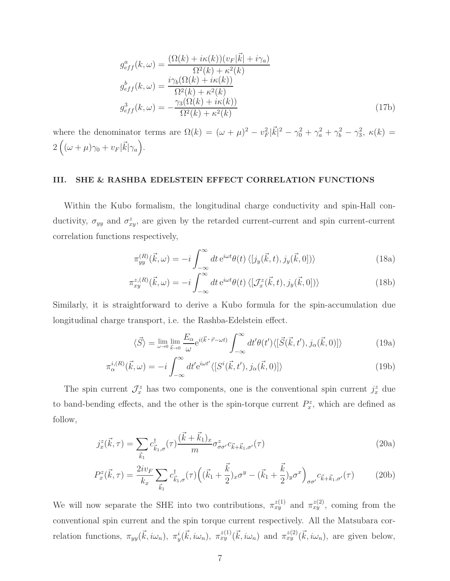$$
g_{eff}^{a}(k,\omega) = \frac{(\Omega(k) + i\kappa(k))(v_F|\vec{k}| + i\gamma_a)}{\Omega^2(k) + \kappa^2(k)}
$$

$$
g_{eff}^{b}(k,\omega) = \frac{i\gamma_b(\Omega(k) + i\kappa(k))}{\Omega^2(k) + \kappa^2(k)}
$$

$$
g_{eff}^{3}(k,\omega) = -\frac{\gamma_3(\Omega(k) + i\kappa(k))}{\Omega^2(k) + \kappa^2(k)}
$$
(17b)

where the denominator terms are  $\Omega(k) = (\omega + \mu)^2 - v_F^2 |\vec{k}|^2 - \gamma_0^2 + \gamma_a^2 + \gamma_b^2 - \gamma_3^2$ ,  $\kappa(k) =$  $2\left((\omega+\mu)\gamma_0+v_F|\vec{k}|\gamma_a\right).$ 

#### <span id="page-11-0"></span>III. SHE & RASHBA EDELSTEIN EFFECT CORRELATION FUNCTIONS

Within the Kubo formalism, the longitudinal charge conductivity and spin-Hall conductivity,  $\sigma_{yy}$  and  $\sigma_{xy}^z$ , are given by the retarded current-current and spin current-current correlation functions respectively,

$$
\pi_{yy}^{(R)}(\vec{k},\omega) = -i \int_{-\infty}^{\infty} dt \,\mathrm{e}^{i\omega t} \theta(t) \langle [j_y(\vec{k},t), j_y(\vec{k},0]) \rangle \tag{18a}
$$

$$
\pi_{xy}^{z,(R)}(\vec{k},\omega) = -i \int_{-\infty}^{\infty} dt \,\mathrm{e}^{i\omega t} \theta(t) \,\langle [\mathcal{J}_x^z(\vec{k},t), j_y(\vec{k},0]) \rangle \tag{18b}
$$

Similarly, it is straightforward to derive a Kubo formula for the spin-accumulation due longitudinal charge transport, i.e. the Rashba-Edelstein effect.

$$
\langle \vec{S} \rangle = \lim_{\omega \to 0} \lim_{\vec{k} \to 0} \frac{E_{\alpha}}{\omega} e^{i(\vec{k} \cdot \vec{r} - \omega t)} \int_{-\infty}^{\infty} dt' \theta(t') \langle [\vec{S}(\vec{k}, t'), j_{\alpha}(\vec{k}, 0)] \rangle \tag{19a}
$$

$$
\pi_{\alpha}^{i,(R)}(\vec{k},\omega) = -i \int_{-\infty}^{\infty} dt' e^{i\omega t'} \langle [S^i(\vec{k},t'),j_{\alpha}(\vec{k},0)] \rangle
$$
\n(19b)

The spin current  $\mathcal{J}_x^z$  has two components, one is the conventional spin current  $j_x^z$  due to band-bending effects, and the other is the spin-torque current  $P_x^z$ , which are defined as follow,

$$
j_x^z(\vec{k},\tau) = \sum_{\vec{k}_1} c_{\vec{k}_1,\sigma}^\dagger(\tau) \frac{(\vec{k} + \vec{k}_1)_x}{m} \sigma_{\sigma\sigma'}^z c_{\vec{k} + \vec{k}_1,\sigma'}(\tau)
$$
(20a)

$$
P_x^z(\vec{k},\tau) = \frac{2iv_F}{k_x} \sum_{\vec{k}_1} c^{\dagger}_{\vec{k}_1,\sigma}(\tau) \Big( (\vec{k}_1 + \frac{\vec{k}}{2})_x \sigma^y - (\vec{k}_1 + \frac{\vec{k}}{2})_y \sigma^x \Big)_{\sigma\sigma'} c_{\vec{k} + \vec{k}_1,\sigma'}(\tau) \tag{20b}
$$

We will now separate the SHE into two contributions,  $\pi_{xy}^{z(1)}$  and  $\pi_{xy}^{z(2)}$ , coming from the conventional spin current and the spin torque current respectively. All the Matsubara correlation functions,  $\pi_{yy}(\vec{k}, i\omega_n)$ ,  $\pi_{y}^{i}(\vec{k}, i\omega_n)$ ,  $\pi_{xy}^{z(1)}(\vec{k}, i\omega_n)$  and  $\pi_{xy}^{z(2)}(\vec{k}, i\omega_n)$ , are given below,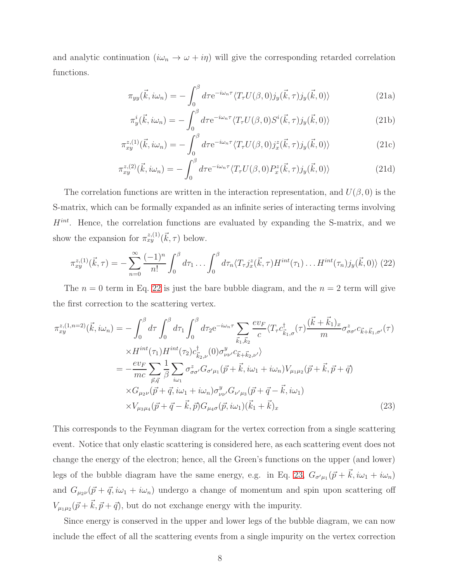and analytic continuation  $(i\omega_n \to \omega + i\eta)$  will give the corresponding retarded correlation functions.

$$
\pi_{yy}(\vec{k}, i\omega_n) = -\int_0^\beta d\tau \mathrm{e}^{-i\omega_n \tau} \langle T_\tau U(\beta, 0) j_y(\vec{k}, \tau) j_y(\vec{k}, 0) \rangle \tag{21a}
$$

$$
\pi_y^i(\vec{k}, i\omega_n) = -\int_0^\beta d\tau e^{-i\omega_n \tau} \langle T_\tau U(\beta, 0) S^i(\vec{k}, \tau) j_y(\vec{k}, 0) \rangle \tag{21b}
$$

$$
\pi_{xy}^{z,(1)}(\vec{k},i\omega_n) = -\int_0^\beta d\tau \mathrm{e}^{-i\omega_n\tau} \langle T_\tau U(\beta,0)j_x^z(\vec{k},\tau)j_y(\vec{k},0) \rangle \tag{21c}
$$

$$
\pi_{xy}^{z,(2)}(\vec{k},i\omega_n) = -\int_0^\beta d\tau \mathrm{e}^{-i\omega_n\tau} \langle T_\tau U(\beta,0) P_x^z(\vec{k},\tau) j_y(\vec{k},0) \rangle \tag{21d}
$$

The correlation functions are written in the interaction representation, and  $U(\beta, 0)$  is the S-matrix, which can be formally expanded as an infinite series of interacting terms involving  $H^{int}$ . Hence, the correlation functions are evaluated by expanding the S-matrix, and we show the expansion for  $\pi_{xy}^{z,(1)}(\vec{k},\tau)$  below.

<span id="page-12-0"></span>
$$
\pi_{xy}^{z,(1)}(\vec{k},\tau) = -\sum_{n=0}^{\infty} \frac{(-1)^n}{n!} \int_0^{\beta} d\tau_1 \dots \int_0^{\beta} d\tau_n \langle T_{\tau} j_x^z(\vec{k},\tau) H^{int}(\tau_1) \dots H^{int}(\tau_n) j_y(\vec{k},0) \rangle (22)
$$

The  $n = 0$  term in Eq. [22](#page-12-0) is just the bare bubble diagram, and the  $n = 2$  term will give the first correction to the scattering vertex.

<span id="page-12-1"></span>
$$
\pi_{xy}^{z,(1,n=2)}(\vec{k},i\omega_n) = -\int_0^{\beta} d\tau \int_0^{\beta} d\tau_1 \int_0^{\beta} d\tau_2 e^{-i\omega_n \tau} \sum_{\vec{k}_1,\vec{k}_2} \frac{ev_F}{c} \langle T_{\tau}c_{\vec{k}_1,\sigma}^{\dagger}(\tau) \frac{(\vec{k}+\vec{k}_1)_x}{m} \sigma_{\sigma\sigma'}^z c_{\vec{k}+\vec{k}_1,\sigma'}(\tau) \times H^{int}(\tau_1) H^{int}(\tau_2) c_{\vec{k}_2,\nu}^{\dagger}(0) \sigma_{\nu\nu'}^y c_{\vec{k}+\vec{k}_2,\nu'} \rangle \n= -\frac{ev_F}{mc} \sum_{\vec{p},\vec{q}} \frac{1}{\beta} \sum_{i\omega_1} \sigma_{\sigma\sigma'}^z G_{\sigma'\mu_1}(\vec{p}+\vec{k},i\omega_1+i\omega_n) V_{\mu_1\mu_2}(\vec{p}+\vec{k},\vec{p}+\vec{q}) \times G_{\mu_2\nu}(\vec{p}+\vec{q},i\omega_1+i\omega_n) \sigma_{\nu\nu'}^y G_{\nu'\mu_3}(\vec{p}+\vec{q}-\vec{k},i\omega_1) \times V_{\mu_3\mu_4}(\vec{p}+\vec{q}-\vec{k},\vec{p}) G_{\mu_4\sigma}(\vec{p},i\omega_1)(\vec{k}_1+\vec{k})_x
$$
\n(23)

This corresponds to the Feynman diagram for the vertex correction from a single scattering event. Notice that only elastic scattering is considered here, as each scattering event does not change the energy of the electron; hence, all the Green's functions on the upper (and lower) legs of the bubble diagram have the same energy, e.g. in Eq. [23,](#page-12-1)  $G_{\sigma'\mu_1}(\vec{p}+\vec{k},i\omega_1+i\omega_n)$ and  $G_{\mu_2\nu}(\vec{p} + \vec{q}, i\omega_1 + i\omega_n)$  undergo a change of momentum and spin upon scattering off  $V_{\mu_1\mu_2}(\vec{p}+\vec{k},\vec{p}+\vec{q})$ , but do not exchange energy with the impurity.

Since energy is conserved in the upper and lower legs of the bubble diagram, we can now include the effect of all the scattering events from a single impurity on the vertex correction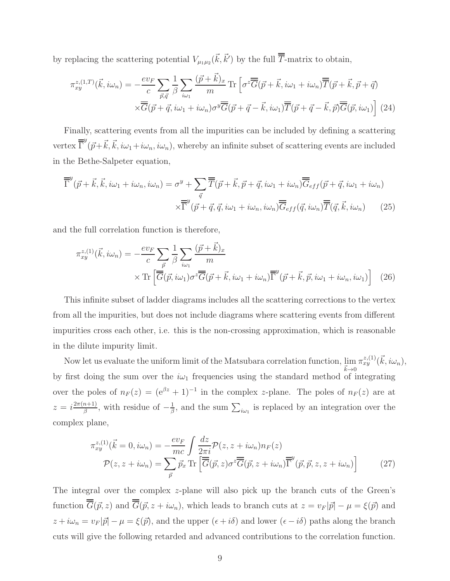by replacing the scattering potential  $V_{\mu_1\mu_2}(\vec{k}, \vec{k}')$  by the full  $\overline{\overline{T}}$ -matrix to obtain,

$$
\pi_{xy}^{z,(1,T)}(\vec{k},i\omega_n) = -\frac{ev_F}{c} \sum_{\vec{p},\vec{q}} \frac{1}{\beta} \sum_{i\omega_1} \frac{(\vec{p}+\vec{k})_x}{m} \text{Tr} \left[ \sigma^z \overline{\vec{G}}(\vec{p}+\vec{k},i\omega_1+i\omega_n) \overline{\overline{T}}(\vec{p}+\vec{k},\vec{p}+\vec{q}) \right. \\
\left. \times \overline{\overline{G}}(\vec{p}+\vec{q},i\omega_1+i\omega_n) \sigma^y \overline{\overline{G}}(\vec{p}+\vec{q}-\vec{k},i\omega_1) \overline{\overline{T}}(\vec{p}+\vec{q}-\vec{k},\vec{p}) \overline{\overline{G}}(\vec{p},i\omega_1) \right] (24)
$$

Finally, scattering events from all the impurities can be included by defining a scattering vertex  $\overline{\overline{\Gamma}}^y(\vec{p}+\vec{k},\vec{k},i\omega_1+i\omega_n,i\omega_n)$ , whereby an infinite subset of scattering events are included in the Bethe-Salpeter equation,

$$
\overline{\overline{\Gamma}}^{y}(\vec{p}+\vec{k},\vec{k},i\omega_{1}+i\omega_{n},i\omega_{n}) = \sigma^{y} + \sum_{\vec{q}} \overline{\overline{T}}(\vec{p}+\vec{k},\vec{p}+\vec{q},i\omega_{1}+i\omega_{n}) \overline{\overline{G}}_{eff}(\vec{p}+\vec{q},i\omega_{1}+i\omega_{n})
$$

$$
\times \overline{\overline{\Gamma}}^{y}(\vec{p}+\vec{q},\vec{q},i\omega_{1}+i\omega_{n},i\omega_{n}) \overline{\overline{G}}_{eff}(\vec{q},i\omega_{n}) \overline{\overline{T}}(\vec{q},\vec{k},i\omega_{n}) \qquad (25)
$$

and the full correlation function is therefore,

$$
\pi_{xy}^{z,(1)}(\vec{k}, i\omega_n) = -\frac{ev_F}{c} \sum_{\vec{p}} \frac{1}{\beta} \sum_{i\omega_1} \frac{(\vec{p} + \vec{k})_x}{m} \times \text{Tr} \left[ \overline{\overline{G}}(\vec{p}, i\omega_1) \sigma^z \overline{\overline{G}}(\vec{p} + \vec{k}, i\omega_1 + i\omega_n) \overline{\overline{\Gamma}}^y(\vec{p} + \vec{k}, \vec{p}, i\omega_1 + i\omega_n, i\omega_1) \right] (26)
$$

This infinite subset of ladder diagrams includes all the scattering corrections to the vertex from all the impurities, but does not include diagrams where scattering events from different impurities cross each other, i.e. this is the non-crossing approximation, which is reasonable in the dilute impurity limit.

Now let us evaluate the uniform limit of the Matsubara correlation function,  $\lim_{x \to a} \pi_{xy}^{z,(1)}(\vec{k}, i\omega_n)$ ,  $\vec{k}\rightarrow 0$ by first doing the sum over the  $i\omega_1$  frequencies using the standard method of integrating over the poles of  $n_F(z) = (e^{\beta z} + 1)^{-1}$  in the complex z-plane. The poles of  $n_F(z)$  are at  $z=i\frac{2\pi(n+1)}{\beta}$  $\frac{n+1}{\beta}$ , with residue of  $-\frac{1}{\beta}$  $\frac{1}{\beta}$ , and the sum  $\sum_{i\omega_1}$  is replaced by an integration over the complex plane,

$$
\pi_{xy}^{z,(1)}(\vec{k}=0,i\omega_n) = -\frac{ev_F}{mc} \int \frac{dz}{2\pi i} \mathcal{P}(z,z+i\omega_n) n_F(z)
$$

$$
\mathcal{P}(z,z+i\omega_n) = \sum_{\vec{p}} \vec{p}_x \operatorname{Tr} \left[ \overline{\overline{G}}(\vec{p},z) \sigma^z \overline{\overline{G}}(\vec{p},z+i\omega_n) \overline{\overline{\Gamma}}^y(\vec{p},\vec{p},z,z+i\omega_n) \right]
$$
(27)

The integral over the complex z-plane will also pick up the branch cuts of the Green's function  $\overline{\overline{G}}(\vec{p}, z)$  and  $\overline{\overline{G}}(\vec{p}, z + i\omega_n)$ , which leads to branch cuts at  $z = v_F |\vec{p}| - \mu = \xi(\vec{p})$  and  $z + i\omega_n = v_F |\vec{p}| - \mu = \xi(\vec{p})$ , and the upper  $(\epsilon + i\delta)$  and lower  $(\epsilon - i\delta)$  paths along the branch cuts will give the following retarded and advanced contributions to the correlation function.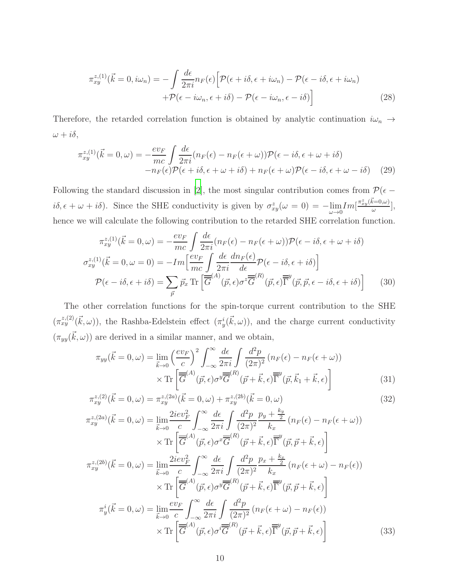$$
\pi_{xy}^{z,(1)}(\vec{k}=0,i\omega_n) = -\int \frac{d\epsilon}{2\pi i} n_F(\epsilon) \left[ \mathcal{P}(\epsilon + i\delta, \epsilon + i\omega_n) - \mathcal{P}(\epsilon - i\delta, \epsilon + i\omega_n) \right. \left. + \mathcal{P}(\epsilon - i\omega_n, \epsilon + i\delta) - \mathcal{P}(\epsilon - i\omega_n, \epsilon - i\delta) \right]
$$
\n(28)

Therefore, the retarded correlation function is obtained by analytic continuation  $i\omega_n \rightarrow$  $\omega + i \delta,$ 

$$
\pi_{xy}^{z,(1)}(\vec{k}=0,\omega) = -\frac{ev_F}{mc} \int \frac{d\epsilon}{2\pi i} (n_F(\epsilon) - n_F(\epsilon + \omega)) \mathcal{P}(\epsilon - i\delta, \epsilon + \omega + i\delta) \n- n_F(\epsilon) \mathcal{P}(\epsilon + i\delta, \epsilon + \omega + i\delta) + n_F(\epsilon + \omega) \mathcal{P}(\epsilon - i\delta, \epsilon + \omega - i\delta) \tag{29}
$$

Following the standard discussion in [\[2\]](#page-27-3), the most singular contribution comes from  $\mathcal{P}(\epsilon$  $i\delta, \epsilon + \omega + i\delta$ ). Since the SHE conductivity is given by  $\sigma_{xy}^z(\omega = 0) = -\lim_{\omega \to 0} Im[\frac{\pi_{xy}^z(\vec{k}=0,\omega)}{\omega}]$  $\frac{\omega^{(0)}(w)}{\omega}$ , hence we will calculate the following contribution to the retarded SHE correlation function.

$$
\pi_{xy}^{z,(1)}(\vec{k}=0,\omega) = -\frac{ev_F}{mc} \int \frac{d\epsilon}{2\pi i} (n_F(\epsilon) - n_F(\epsilon + \omega)) \mathcal{P}(\epsilon - i\delta, \epsilon + \omega + i\delta)
$$

$$
\sigma_{xy}^{z,(1)}(\vec{k}=0,\omega=0) = -Im \left[\frac{ev_F}{mc} \int \frac{d\epsilon}{2\pi i} \frac{dn_F(\epsilon)}{d\epsilon} \mathcal{P}(\epsilon - i\delta, \epsilon + i\delta)\right]
$$

$$
\mathcal{P}(\epsilon - i\delta, \epsilon + i\delta) = \sum_{\vec{p}} \vec{p}_x \operatorname{Tr} \left[\overline{\vec{G}}^{(A)}(\vec{p}, \epsilon) \sigma^z \overline{\vec{G}}^{(R)}(\vec{p}, \epsilon) \overline{\vec{\Gamma}}^y(\vec{p}, \vec{p}, \epsilon - i\delta, \epsilon + i\delta)\right]
$$
(30)

The other correlation functions for the spin-torque current contribution to the SHE  $(\pi_{xy}^{z,(2)}(\vec{k},\omega))$ , the Rashba-Edelstein effect  $(\pi_y^i(\vec{k},\omega))$ , and the charge current conductivity  $(\pi_{yy}(\vec{k}, \omega))$  are derived in a similar manner, and we obtain,

$$
\pi_{yy}(\vec{k}=0,\omega) = \lim_{\vec{k}\to 0} \left(\frac{ev_F}{c}\right)^2 \int_{-\infty}^{\infty} \frac{d\epsilon}{2\pi i} \int \frac{d^2p}{(2\pi)^2} \left(n_F(\epsilon) - n_F(\epsilon+\omega)\right) \times \text{Tr}\left[\overline{\overline{G}}^{(A)}(\vec{p},\epsilon)\sigma^y \overline{\overline{G}}^{(R)}(\vec{p}+\vec{k},\epsilon)\overline{\overline{\Gamma}}^y(\vec{p},\vec{k}_1+\vec{k},\epsilon)\right]
$$
\n(31)

$$
\pi_{xy}^{z,(2)}(\vec{k}=0,\omega) = \pi_{xy}^{z,(2a)}(\vec{k}=0,\omega) + \pi_{xy}^{z,(2b)}(\vec{k}=0,\omega)
$$
\n(32)

$$
\pi_{xy}^{z,(2a)}(\vec{k}=0,\omega) = \lim_{\vec{k}\to 0} \frac{2iev_F^2}{c} \int_{-\infty}^{\infty} \frac{d\epsilon}{2\pi i} \int \frac{d^2p}{(2\pi)^2} \frac{p_y + \frac{\kappa_y}{2}}{k_x} (n_F(\epsilon) - n_F(\epsilon + \omega))
$$
  
\n
$$
\times \text{Tr} \left[ \overline{G}^{(A)}(\vec{p}, \epsilon) \sigma^x \overline{G}^{(R)}(\vec{p} + \vec{k}, \epsilon) \overline{\Gamma}^y(\vec{p}, \vec{p} + \vec{k}, \epsilon) \right]
$$
  
\n
$$
\pi_{xy}^{z,(2b)}(\vec{k}=0,\omega) = \lim_{\vec{k}\to 0} \frac{2iev_F^2}{c} \int_{-\infty}^{\infty} \frac{d\epsilon}{2\pi i} \int \frac{d^2p}{(2\pi)^2} \frac{p_x + \frac{k_x}{2}}{k_x} (n_F(\epsilon + \omega) - n_F(\epsilon))
$$
  
\n
$$
\times \text{Tr} \left[ \overline{G}^{(A)}(\vec{p}, \epsilon) \sigma^y \overline{G}^{(R)}(\vec{p} + \vec{k}, \epsilon) \overline{\Gamma}^y(\vec{p}, \vec{p} + \vec{k}, \epsilon) \right]
$$
  
\n
$$
\pi_y^i(\vec{k}=0,\omega) = \lim_{\vec{k}\to 0} \frac{e v_F}{c} \int_{-\infty}^{\infty} \frac{d\epsilon}{2\pi i} \int \frac{d^2p}{(2\pi)^2} (n_F(\epsilon + \omega) - n_F(\epsilon))
$$
  
\n
$$
\times \text{Tr} \left[ \overline{G}^{(A)}(\vec{p}, \epsilon) \sigma^i \overline{G}^{(R)}(\vec{p} + \vec{k}, \epsilon) \overline{\Gamma}^y(\vec{p}, \vec{p} + \vec{k}, \epsilon) \right]
$$
(33)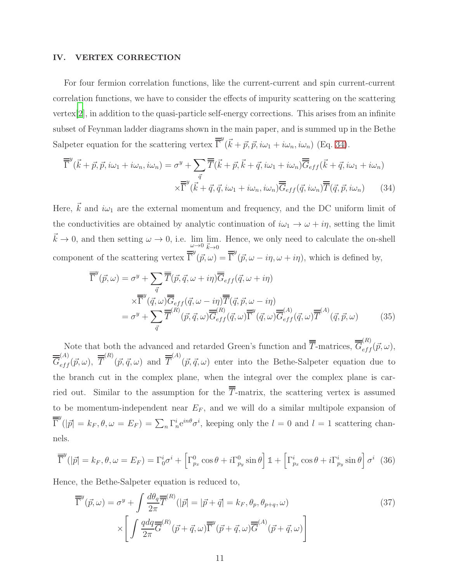### <span id="page-15-0"></span>IV. VERTEX CORRECTION

For four fermion correlation functions, like the current-current and spin current-current correlation functions, we have to consider the effects of impurity scattering on the scattering vertex[\[2](#page-27-3)], in addition to the quasi-particle self-energy corrections. This arises from an infinite subset of Feynman ladder diagrams shown in the main paper, and is summed up in the Bethe Salpeter equation for the scattering vertex  $\overline{\overline{\Gamma}}^{y}(\vec{k} + \vec{p}, \vec{p}, i\omega_1 + i\omega_n, i\omega_n)$  (Eq. [34\)](#page-15-1).

<span id="page-15-1"></span>
$$
\overline{\overline{\Gamma}}^{y}(\vec{k}+\vec{p},\vec{p},i\omega_{1}+i\omega_{n},i\omega_{n}) = \sigma^{y} + \sum_{\vec{q}} \overline{\overline{T}}(\vec{k}+\vec{p},\vec{k}+\vec{q},i\omega_{1}+i\omega_{n}) \overline{\overline{G}}_{eff}(\vec{k}+\vec{q},i\omega_{1}+i\omega_{n})
$$

$$
\times \overline{\overline{\Gamma}}^{y}(\vec{k}+\vec{q},\vec{q},i\omega_{1}+i\omega_{n},i\omega_{n}) \overline{\overline{G}}_{eff}(\vec{q},i\omega_{n}) \overline{\overline{T}}(\vec{q},\vec{p},i\omega_{n}) \qquad (34)
$$

Here,  $\vec{k}$  and  $i\omega_1$  are the external momentum and frequency, and the DC uniform limit of the conductivities are obtained by analytic continuation of  $i\omega_1 \rightarrow \omega + i\eta$ , setting the limit  $\vec{k} \to 0$ , and then setting  $\omega \to 0$ , i.e.  $\lim_{\omega \to 0} \lim_{\vec{k} \to 0}$  $\vec{k}\rightarrow 0$ . Hence, we only need to calculate the on-shell component of the scattering vertex  $\overline{\overline{\Gamma}}^y(\vec{p}, \omega) = \overline{\overline{\Gamma}}^y(\vec{p}, \omega - i\eta, \omega + i\eta)$ , which is defined by,

$$
\overline{\overline{\Gamma}}^{y}(\vec{p}, \omega) = \sigma^{y} + \sum_{\vec{q}} \overline{\overline{T}}(\vec{p}, \vec{q}, \omega + i\eta) \overline{\overline{G}}_{eff}(\vec{q}, \omega + i\eta) \times \overline{\overline{\Gamma}}^{y}(\vec{q}, \omega) \overline{\overline{G}}_{eff}(\vec{q}, \omega - i\eta) \overline{\overline{T}}(\vec{q}, \vec{p}, \omega - i\eta) \n= \sigma^{y} + \sum_{\vec{q}} \overline{\overline{T}}^{(R)}(\vec{p}, \vec{q}, \omega) \overline{\overline{G}}_{eff}^{(R)}(\vec{q}, \omega) \overline{\overline{\Gamma}}^{y}(\vec{q}, \omega) \overline{\overline{G}}_{eff}^{(A)}(\vec{q}, \omega) \overline{\overline{T}}^{(A)}(\vec{q}, \vec{p}, \omega)
$$
\n(35)

Note that both the advanced and retarded Green's function and  $\overline{\overline{T}}$ -matrices,  $\overline{\overline{G}}_{eff}^{(R)}(\vec{p}, \omega)$ ,  $\overline{\overline{G}}_{eff}^{(A)}(\vec{p},\omega), \overline{\overline{T}}^{(R)}(\vec{p},\vec{q},\omega)$  and  $\overline{\overline{T}}^{(A)}(\vec{p},\vec{q},\omega)$  enter into the Bethe-Salpeter equation due to the branch cut in the complex plane, when the integral over the complex plane is carried out. Similar to the assumption for the  $\overline{\overline{T}}$ -matrix, the scattering vertex is assumed to be momentum-independent near  $E_F$ , and we will do a similar multipole expansion of  $\overline{\overline{\Gamma}}^{y}(|\vec{p}| = k_F, \theta, \omega = E_F) = \sum_{n} \Gamma_n^{i} e^{in\theta} \sigma^i$ , keeping only the  $l = 0$  and  $l = 1$  scattering channels.

$$
\overline{\overline{\Gamma}}^{y}(|\vec{p}| = k_F, \theta, \omega = E_F) = \Gamma_0^i \sigma^i + \left[\Gamma_{p_x}^0 \cos \theta + i \Gamma_{p_y}^0 \sin \theta\right] \mathbb{1} + \left[\Gamma_{p_x}^i \cos \theta + i \Gamma_{p_y}^i \sin \theta\right] \sigma^i \tag{36}
$$

Hence, the Bethe-Salpeter equation is reduced to,

$$
\overline{\overline{\Gamma}}^{y}(\vec{p},\omega) = \sigma^{y} + \int \frac{d\theta_{q}}{2\pi} \overline{\overline{T}}^{(R)}(|\vec{p}| = |\vec{p} + \vec{q}| = k_{F}, \theta_{p}, \theta_{p+q}, \omega) \times \left[ \int \frac{q dq}{2\pi} \overline{G}^{(R)}(\vec{p} + \vec{q}, \omega) \overline{\overline{\Gamma}}^{y}(\vec{p} + \vec{q}, \omega) \overline{\overline{G}}^{(A)}(\vec{p} + \vec{q}, \omega) \right]
$$
\n(37)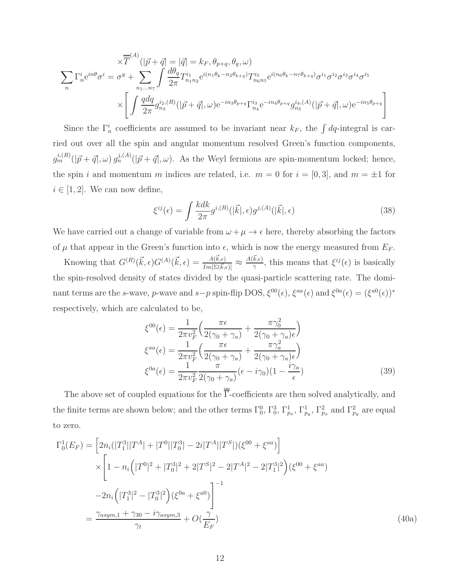$$
\times \overline{\overline{T}}^{(A)}(|\vec{p} + \vec{q}| = |\vec{q}| = k_F, \theta_{p+q}, \theta_q, \omega)
$$
  

$$
\sum_{n} \Gamma_n^i e^{in\theta} \sigma^i = \sigma^y + \sum_{n_1...n_7} \int \frac{d\theta_q}{2\pi} T_{n_1n_2}^{i_1} e^{i(n_1\theta_k - n_2\theta_{k+q})} T_{n_6n_7}^{i_5} e^{i(n_6\theta_k - n_7\theta_{k+q})} \sigma^{i_1} \sigma^{i_2} \sigma^{i_3} \sigma^{i_4} \sigma^{i_5}
$$
  

$$
\times \left[ \int \frac{q dq}{2\pi} g_{n_3}^{i_2, (R)}(|\vec{p} + \vec{q}|, \omega) e^{-in_3\theta_{p+q}} \Gamma_{n_4}^{i_3} e^{-in_4\theta_{p+q}} g_{n_5}^{i_4, (A)}(|\vec{p} + \vec{q}|, \omega) e^{-in_5\theta_{p+q}} \right]
$$

Since the  $\Gamma_n^i$  coefficients are assumed to be invariant near  $k_F$ , the  $\int dq$ -integral is carried out over all the spin and angular momentum resolved Green's function components,  $g_m^{i,(R)}(|\vec{p}+\vec{q}|,\omega) g_n^{j,(A)}(|\vec{p}+\vec{q}|,\omega)$ . As the Weyl fermions are spin-momentum locked; hence, the spin i and momentum m indices are related, i.e.  $m = 0$  for  $i = [0, 3]$ , and  $m = \pm 1$  for  $i \in [1, 2]$ . We can now define,

$$
\xi^{ij}(\epsilon) = \int \frac{kdk}{2\pi} g^{i,(R)}(|\vec{k}|, \epsilon) g^{j,(A)}(|\vec{k}|, \epsilon)
$$
\n(38)

We have carried out a change of variable from  $\omega + \mu \to \epsilon$  here, thereby absorbing the factors of  $\mu$  that appear in the Green's function into  $\epsilon$ , which is now the energy measured from  $E_F$ .

Knowing that  $G^{(R)}(\vec{k}, \epsilon) G^{(A)}(\vec{k}, \epsilon) = \frac{A(\vec{k}, \epsilon)}{I_{\text{max}}[\Sigma \cdot \vec{k}]}$  $\frac{A(\vec{k},\epsilon)}{Im[\Sigma(\vec{k},\epsilon)]}\approx \frac{A(\vec{k},\epsilon)}{\gamma}$  $\frac{k,\epsilon}{\gamma}$ , this means that  $\xi^{ij}(\epsilon)$  is basically the spin-resolved density of states divided by the quasi-particle scattering rate. The dominant terms are the s-wave, p-wave and  $s-p$  spin-flip DOS,  $\xi^{00}(\epsilon)$ ,  $\xi^{aa}(\epsilon)$  and  $\xi^{0a}(\epsilon) = (\xi^{a0}(\epsilon))^*$ respectively, which are calculated to be,

$$
\xi^{00}(\epsilon) = \frac{1}{2\pi v_F^2} \left( \frac{\pi \epsilon}{2(\gamma_0 + \gamma_a)} + \frac{\pi \gamma_0^2}{2(\gamma_0 + \gamma_a)\epsilon} \right)
$$

$$
\xi^{aa}(\epsilon) = \frac{1}{2\pi v_F^2} \left( \frac{\pi \epsilon}{2(\gamma_0 + \gamma_a)} + \frac{\pi \gamma_a^2}{2(\gamma_0 + \gamma_a)\epsilon} \right)
$$

$$
\xi^{0a}(\epsilon) = \frac{1}{2\pi v_F^2} \frac{\pi}{2(\gamma_0 + \gamma_a)} (\epsilon - i\gamma_0)(1 - \frac{i\gamma_a}{\epsilon})
$$
(39)

The above set of coupled equations for the  $\overline{\overline{\Gamma}}$ -coefficients are then solved analytically, and the finite terms are shown below; and the other terms  $\Gamma_0^0$ ,  $\Gamma_0^3$ ,  $\Gamma_{p_x}^1$ ,  $\Gamma_{p_y}^1$ ,  $\Gamma_{p_x}^2$ , and  $\Gamma_{p_y}^2$  are equal to zero.

<span id="page-16-0"></span>
$$
\Gamma_0^1(E_F) = \left[ 2n_i(|T_1^3||T^A| + |T^0||T_0^3| - 2i|T^A||T^S|)(\xi^{00} + \xi^{aa}) \right]
$$
  
\n
$$
\times \left[ 1 - n_i\left( |T^0|^2 + |T_0^3|^2 + 2|T^S|^2 - 2|T^A|^2 - 2|T_1^3|^2 \right) (\xi^{00} + \xi^{aa})
$$
  
\n
$$
-2n_i\left( |T_1^3|^2 - |T_0^3|^2 \right) (\xi^{0a} + \xi^{a0}) \right]^{-1}
$$
  
\n
$$
= \frac{\gamma_{asym,1} + \gamma_{30} - i\gamma_{asym,3}}{\gamma_t} + O(\frac{\gamma}{E_F})
$$
 (40a)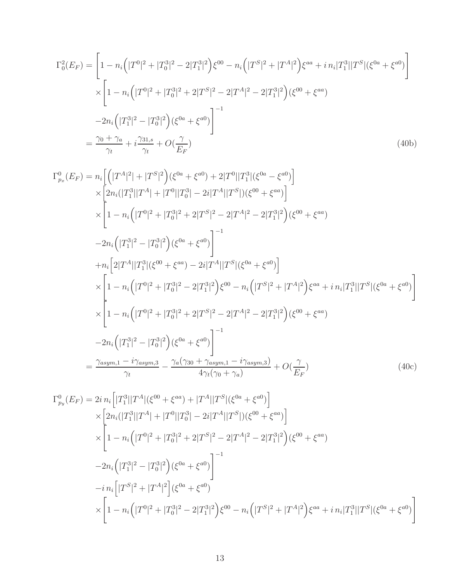$$
\Gamma_0^2(E_F) = \left[1 - n_i\left(|T^0|^2 + |T_0^3|^2 - 2|T_1^3|^2\right)\xi^{00} - n_i\left(|T^S|^2 + |T^A|^2\right)\xi^{aa} + i n_i|T_1^3||T^S|(\xi^{0a} + \xi^{a0})\right]
$$
  
\n
$$
\times \left[1 - n_i\left(|T^0|^2 + |T_0^3|^2 + 2|T^S|^2 - 2|T^A|^2 - 2|T_1^3|^2\right)(\xi^{00} + \xi^{aa})
$$
  
\n
$$
-2n_i\left(|T_1^3|^2 - |T_0^3|^2\right)(\xi^{0a} + \xi^{a0})\right]^{-1}
$$
  
\n
$$
= \frac{\gamma_0 + \gamma_a}{\gamma_t} + i\frac{\gamma_{31,s}}{\gamma_t} + O(\frac{\gamma}{E_F})
$$
\n(40b)

$$
\Gamma_{p_x}^{0}(E_F) = n_i \left[ \left( |T^A|^2 + |T^S|^2 \right) (\xi^{0a} + \xi^{a0}) + 2|T^0||T_1^3|(\xi^{0a} - \xi^{a0}) \right] \times \left[ 2n_i(|T_1^3||T^A| + |T^0||T_0^3| - 2i|T^A||T^S|)(\xi^{00} + \xi^{aa}) \right] \times \left[ 1 - n_i \left( |T^0|^2 + |T_0^3|^2 + 2|T^S|^2 - 2|T^A|^2 - 2|T_1^3|^2 \right) (\xi^{00} + \xi^{aa}) \right] \times \left[ 2n_i \left( |T_1^3|^2 - |T_0^3|^2 \right) (\xi^{0a} + \xi^{a0}) \right]^{-1} \times n_i \left[ 2|T^A||T_1^3|(\xi^{00} + \xi^{aa}) - 2i|T^A||T^S|(\xi^{0a} + \xi^{a0}) \right] \times \left[ 1 - n_i \left( |T^0|^2 + |T_0^3|^2 - 2|T_1^3|^2 \right) \xi^{00} - n_i \left( |T^S|^2 + |T^A|^2 \right) \xi^{aa} + i n_i |T_1^3||T^S|(\xi^{0a} + \xi^{a0}) \right] \times \left[ 1 - n_i \left( |T^0|^2 + |T_0^3|^2 + 2|T^S|^2 - 2|T^A|^2 - 2|T_1^3|^2 \right) (\xi^{00} + \xi^{aa}) \right] \times \left[ 1 - n_i \left( |T^0|^2 + |T_0^3|^2 + 2|T^S|^2 - 2|T^A|^2 - 2|T_1^3|^2 \right) (\xi^{00} + \xi^{aa}) \right] \times \left[ 1 - n_i \left( |T^0|^2 + |T_0^3|^2 + 2|T^S|^2 - 2|T^A|^2 - 2|T_1^3|^2 \right) (\xi^{00} + \xi^{aa}) \right] \times \left[ 1 - n_i \left( |T^0|^2 + |T_0^3|^2 + 2|T^S|^2 - 2|T^A|^2 - 2|T_1^3|^2 \right) (\xi^{00} + \xi^{aa}) \right] \times \left[ 1 - n_i \left( |T^0|^2 + |T_0^3
$$

$$
\Gamma_{p_y}^0(E_F) = 2i n_i \Big[ |T_1^3||T^A| (\xi^{00} + \xi^{aa}) + |T^A||T^S| (\xi^{0a} + \xi^{a0}) \Big] \times \Big[ 2n_i (|T_1^3||T^A| + |T^0||T_0^3| - 2i|T^A||T^S|) (\xi^{00} + \xi^{aa}) \Big] \times \Big[ 1 - n_i (|T^0|^2 + |T_0^3|^2 + 2|T^S|^2 - 2|T^A|^2 - 2|T_1^3|^2) (\xi^{00} + \xi^{aa}) \Big] \times \Big[ 1 - 2n_i (|T_1^3|^2 - |T_0^3|^2) (\xi^{0a} + \xi^{a0}) \Big]^{-1} \times \Big[ 1 - n_i (|T^S|^2 + |T^A|^2] (\xi^{0a} + \xi^{a0}) \Big] \times \Big[ 1 - n_i (|T^0|^2 + |T_0^3|^2 - 2|T_1^3|^2) \xi^{00} - n_i (|T^S|^2 + |T^A|^2) \xi^{aa} + i n_i |T_1^3||T^S| (\xi^{0a} + \xi^{a0}) \Big]
$$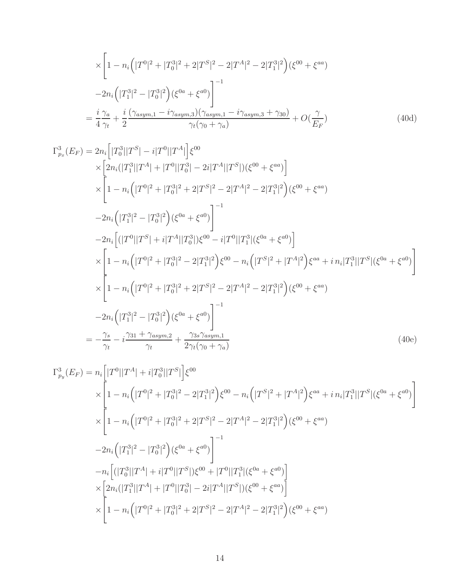$$
\times \left[1 - n_i \left(|T^0|^2 + |T_0^3|^2 + 2|T^S|^2 - 2|T^A|^2 - 2|T_1^3|^2\right) (\xi^{00} + \xi^{aa}) - 2n_i \left(|T_1^3|^2 - |T_0^3|^2\right) (\xi^{0a} + \xi^{a0})\right]^{-1}
$$
  

$$
= \frac{i}{4} \frac{\gamma_a}{\gamma_t} + \frac{i}{2} \frac{(\gamma_{asym,1} - i\gamma_{asym,3})(\gamma_{asym,1} - i\gamma_{asym,3} + \gamma_{30})}{\gamma_t(\gamma_0 + \gamma_a)} + O(\frac{\gamma}{E_F})
$$
(40d)

$$
\Gamma_{p_x}^{3}(E_F) = 2n_i \left[ |T_0^{3}||T^S| - i|T^0||T^A| \right] \xi^{00}
$$
  
\n
$$
\times \left[ 2n_i(|T_1^{3}||T^A| + |T^0||T_0^{3}| - 2i|T^A||T^S|)(\xi^{00} + \xi^{aa}) \right]
$$
  
\n
$$
\times \left[ 1 - n_i \left( |T^0|^2 + |T_0^{3}|^2 + 2|T^S|^2 - 2|T^A|^2 - 2|T_1^{3}|^2 \right) (\xi^{00} + \xi^{aa}) \right]
$$
  
\n
$$
-2n_i \left( |T_1^{3}|^2 - |T_0^{3}|^2 \right) (\xi^{0a} + \xi^{a0}) \right]^{-1}
$$
  
\n
$$
-2n_i \left[ (|T^0||T^S| + i|T^A||T_0^{3}|)\xi^{00} - i|T^0||T_1^{3}|(\xi^{0a} + \xi^{a0}) \right]
$$
  
\n
$$
\times \left[ 1 - n_i \left( |T^0|^2 + |T_0^{3}|^2 - 2|T_1^{3}|^2 \right) \xi^{00} - n_i \left( |T^S|^2 + |T^A|^2 \right) \xi^{aa} + i n_i |T_1^{3}| |T^S|(\xi^{0a} + \xi^{a0}) \right]
$$
  
\n
$$
\times \left[ 1 - n_i \left( |T^0|^2 + |T_0^{3}|^2 + 2|T^S|^2 - 2|T^A|^2 - 2|T_1^{3}|^2 \right) (\xi^{00} + \xi^{aa}) \right]
$$
  
\n
$$
-2n_i \left( |T_1^{3}|^2 - |T_0^{3}|^2 \right) (\xi^{0a} + \xi^{a0}) \right]^{-1}
$$
  
\n
$$
-2n_i \left( |T_1^{3}|^2 - |T_0^{3}|^2 \right) (\xi^{0a} + \xi^{a0}) \right]
$$
  
\n
$$
= -\frac{\gamma_s}{\gamma_t} - i \frac{\gamma_{31} + \gamma_{asym,2}}{\gamma_t} + \frac{\gamma_{3s}\gamma_{asym,1}}{2\gamma_t(\gamma_0 + \gamma_a)}
$$
 (40e)

$$
\Gamma_{p_y}^3(E_F) = n_i \left[ |T^0||T^A| + i|T_0^3||T^S| \right] \xi^{00}
$$
  
\n
$$
\times \left[ 1 - n_i \left( |T^0|^2 + |T_0^3|^2 - 2|T_1^3|^2 \right) \xi^{00} - n_i \left( |T^S|^2 + |T^A|^2 \right) \xi^{aa} + i n_i |T_1^3||T^S| (\xi^{0a} + \xi^{a0}) \right]
$$
  
\n
$$
\times \left[ 1 - n_i \left( |T^0|^2 + |T_0^3|^2 + 2|T^S|^2 - 2|T^A|^2 - 2|T_1^3|^2 \right) (\xi^{00} + \xi^{aa})
$$
  
\n
$$
- 2n_i \left( |T_1^3|^2 - |T_0^3|^2 \right) (\xi^{0a} + \xi^{a0}) \right]^{-1}
$$
  
\n
$$
- n_i \left[ (|T_0^3||T^A| + i|T^0||T^S|) \xi^{00} + |T^0||T_1^3| (\xi^{0a} + \xi^{a0}) \right]
$$
  
\n
$$
\times \left[ 2n_i (|T_1^3||T^A| + |T^0||T_0^3| - 2i|T^A||T^S|) (\xi^{00} + \xi^{aa}) \right]
$$
  
\n
$$
\times \left[ 1 - n_i \left( |T^0|^2 + |T_0^3|^2 + 2|T^S|^2 - 2|T^A|^2 - 2|T_1^3|^2 \right) (\xi^{00} + \xi^{aa}) \right]
$$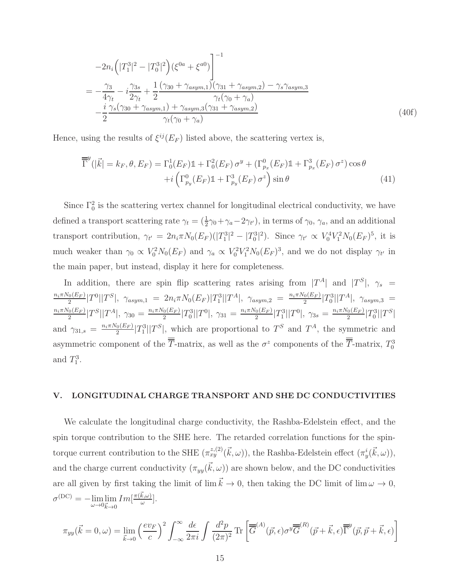$$
-2n_i\left(|T_1^3|^2 - |T_0^3|^2\right)(\xi^{0a} + \xi^{a0})\Big]^{-1}
$$
  
= 
$$
-\frac{\gamma_3}{4\gamma_t} - i\frac{\gamma_{3s}}{2\gamma_t} + \frac{1}{2}\frac{(\gamma_{30} + \gamma_{asym,1})(\gamma_{31} + \gamma_{asym,2}) - \gamma_s\gamma_{asym,3}}{\gamma_t(\gamma_0 + \gamma_a)}
$$
  

$$
-\frac{i}{2}\frac{\gamma_s(\gamma_{30} + \gamma_{asym,1}) + \gamma_{asym,3}(\gamma_{31} + \gamma_{asym,2})}{\gamma_t(\gamma_0 + \gamma_a)}
$$
(40f)

Hence, using the results of  $\xi^{ij}(E_F)$  listed above, the scattering vertex is,

$$
\overline{\overline{\Gamma}}^{y}(|\vec{k}| = k_F, \theta, E_F) = \Gamma_0^1(E_F) \mathbb{1} + \Gamma_0^2(E_F) \sigma^y + (\Gamma_{p_x}^0(E_F) \mathbb{1} + \Gamma_{p_x}^3(E_F) \sigma^z) \cos \theta \n+ i \left( \Gamma_{p_y}^0(E_F) \mathbb{1} + \Gamma_{p_y}^3(E_F) \sigma^z \right) \sin \theta
$$
\n(41)

Since  $\Gamma_0^2$  is the scattering vertex channel for longitudinal electrical conductivity, we have defined a transport scattering rate  $\gamma_t = (\frac{1}{2}\gamma_0 + \gamma_a - 2\gamma_{t'})$ , in terms of  $\gamma_0$ ,  $\gamma_a$ , and an additional transport contribution,  $\gamma_{t'} = 2n_i \pi N_0(E_F)(|T_1^3|^2 - |T_0^3|^2)$ . Since  $\gamma_{t'} \propto V_0^4 V_1^2 N_0(E_F)^5$ , it is much weaker than  $\gamma_0 \propto V_0^2 N_0(E_F)$  and  $\gamma_a \propto V_0^2 V_1^2 N_0(E_F)^3$ , and we do not display  $\gamma_{t'}$  in the main paper, but instead, display it here for completeness.

In addition, there are spin flip scattering rates arising from  $|T^A|$  and  $|T^S|$ ,  $\gamma_s$  =  $n_i\pi N_0(E_F)$  $\frac{N_{0}(E_{F})}{2}|T^{0}||T^{S}|, \ \gamma_{asym,1} \ = \ 2n_{i}\pi N_{0}(E_{F})|T^{3}_{1}||T^{A}|, \ \gamma_{asym,2} \ = \ \frac{n_{i}\pi N_{0}(E_{F})}{2}$  $\int_{2}^{\lfloor 0(E_F) \rfloor} |T_0^3||T^A|, \ \gamma_{asym,3} =$  $n_i\pi N_0(E_F)$  $\frac{N_0(E_F)}{2}|T^S||T^A|, \gamma_{30} = \frac{n_i \pi N_0(E_F)}{2}$  $\frac{N_0(E_F)}{2}|T_0^3||T^0|, \gamma_{31} = \frac{n_i \pi N_0(E_F)}{2}$  $\frac{N_0(E_F)}{2}|T_1^3||T^0|, \gamma_{3s} = \frac{n_i \pi N_0(E_F)}{2}$  $\frac{1}{2} \frac{\left|T_0^3\right|}{|T_0^3|} |T^S|$ and  $\gamma_{31,s} = \frac{n_i \pi N_0(E_F)}{2}$  $\frac{1}{2} \frac{1}{2} |T_1^3||T^S|$ , which are proportional to  $T^S$  and  $T^A$ , the symmetric and asymmetric component of the  $\overline{T}$ -matrix, as well as the  $\sigma^z$  components of the  $\overline{T}$ -matrix,  $T_0^3$ and  $T_1^3$ .

#### <span id="page-19-0"></span>V. LONGITUDINAL CHARGE TRANSPORT AND SHE DC CONDUCTIVITIES

We calculate the longitudinal charge conductivity, the Rashba-Edelstein effect, and the spin torque contribution to the SHE here. The retarded correlation functions for the spintorque current contribution to the SHE  $(\pi_{xy}^{z,(2)}(\vec{k},\omega))$ , the Rashba-Edelstein effect  $(\pi_y^i(\vec{k},\omega))$ , and the charge current conductivity  $(\pi_{yy}(\vec{k}, \omega))$  are shown below, and the DC conductivities are all given by first taking the limit of lim $\vec{k} \to 0$ , then taking the DC limit of lim  $\omega \to 0$ ,  $\sigma^{\rm (DC)} = -\lim_{\omega \to 0} \lim_{\vec{k} \to 0}$  $\vec{k}\rightarrow 0$  $Im[\frac{\pi(\vec{k},\omega)}{\omega}]$  $\frac{\kappa,\omega_j}{\omega}$ .

$$
\pi_{yy}(\vec{k}=0,\omega) = \lim_{\vec{k}\to 0} \left(\frac{ev_F}{c}\right)^2 \int_{-\infty}^{\infty} \frac{d\epsilon}{2\pi i} \int \frac{d^2p}{(2\pi)^2} \operatorname{Tr}\left[\overline{\overline{G}}^{(A)}(\vec{p},\epsilon)\sigma^y \overline{\overline{G}}^{(R)}(\vec{p}+\vec{k},\epsilon)\overline{\overline{\Gamma}}^y(\vec{p},\vec{p}+\vec{k},\epsilon)\right]
$$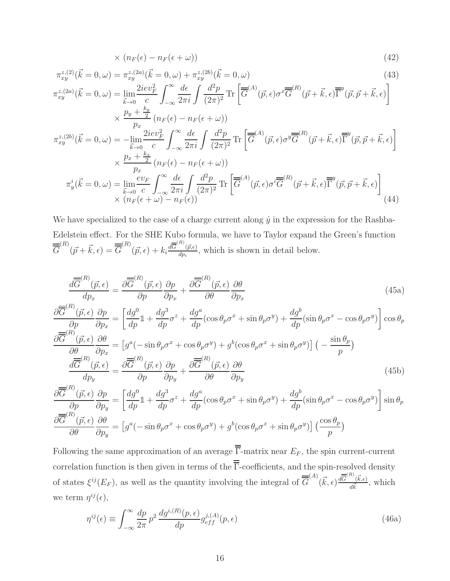$$
\times (n_F(\epsilon) - n_F(\epsilon + \omega)) \tag{42}
$$

$$
\pi_{xy}^{z,(2)}(\vec{k}=0,\omega) = \pi_{xy}^{z,(2a)}(\vec{k}=0,\omega) + \pi_{xy}^{z,(2b)}(\vec{k}=0,\omega)
$$
\n(43)

$$
\pi_{xy}^{z,(2a)}(\vec{k}=0,\omega) = \lim_{\vec{k}\to 0} \frac{2iev_F^2}{c} \int_{-\infty}^{\infty} \frac{d\epsilon}{2\pi i} \int \frac{d^2p}{(2\pi)^2} \operatorname{Tr}\left[\overline{\overline{G}}^{(A)}(\vec{p},\epsilon)\sigma^x \overline{\overline{G}}^{(R)}(\vec{p}+\vec{k},\epsilon)\overline{\overline{\Gamma}}^y(\vec{p},\vec{p}+\vec{k},\epsilon)\right] \times \frac{p_y + \frac{k_y}{2}}{p_x} (n_F(\epsilon) - n_F(\epsilon+\omega))
$$
  

$$
\pi_{xy}^{z,(2b)}(\vec{k}=0,\omega) = -\lim_{\vec{k}\to 0} \frac{2iev_F^2}{c} \int_{-\infty}^{\infty} \frac{d\epsilon}{2\pi i} \int \frac{d^2p}{(2\pi)^2} \operatorname{Tr}\left[\overline{\overline{G}}^{(A)}(\vec{p},\epsilon)\sigma^y \overline{\overline{G}}^{(R)}(\vec{p}+\vec{k},\epsilon)\overline{\overline{\Gamma}}^y(\vec{p},\vec{p}+\vec{k},\epsilon)\right]
$$

$$
x_{ij}^{\nu} \left( k = 0, \omega \right) = -\lim_{\substack{\vec{k} \to 0 \\ \vec{k} \to 0}} \frac{1}{c} \int_{-\infty}^{\infty} \frac{1}{2\pi i} \int \frac{1}{(2\pi)^2} \text{II} \left[ G - (p, \epsilon) \sigma^2 G - (p + \kappa, \epsilon) \text{I} \left( p, p + \kappa, \epsilon \right) \right]
$$

$$
\times \frac{p_x + \frac{k_x}{2}}{p_x} \left( n_F(\epsilon) - n_F(\epsilon + \omega) \right)
$$

$$
\pi_y^i(\vec{k} = 0, \omega) = \lim_{\substack{\vec{k} \to 0 \\ \vec{k} \to 0}} \frac{ev_F}{c} \int_{-\infty}^{\infty} \frac{d\epsilon}{2\pi i} \int \frac{d^2p}{(2\pi)^2} \text{Tr} \left[ \overline{\vec{G}}^{(A)}(\vec{p}, \epsilon) \sigma^i \overline{\vec{G}}^{(R)}(\vec{p} + \vec{k}, \epsilon) \overline{\vec{\Gamma}}^y(\vec{p}, \vec{p} + \vec{k}, \epsilon) \right]
$$

$$
\times \left( n_F(\epsilon + \omega) - n_F(\epsilon) \right) \tag{44}
$$

We have specialized to the case of a charge current along  $\hat{y}$  in the expression for the Rashba-Edelstein effect. For the SHE Kubo formula, we have to Taylor expand the Green's function  $\overline{\overline{G}}^{(R)}(\vec{p}+\vec{k},\epsilon)=\overline{\overline{G}}^{(R)}(\vec{p},\epsilon)+k_i\frac{d\overline{\overline{G}}^{(R)}(\vec{p},\epsilon)}{d n_i}$  $\frac{(p,\epsilon)}{dp_i}$ , which is shown in detail below.

$$
\frac{d\overline{\overline{G}}^{(R)}(\vec{p},\epsilon)}{dp_x} = \frac{\partial \overline{\overline{G}}^{(R)}(\vec{p},\epsilon)}{\partial p} \frac{\partial p}{\partial p_x} + \frac{\partial \overline{\overline{G}}^{(R)}(\vec{p},\epsilon)}{\partial \theta} \frac{\partial \theta}{\partial p_x}
$$
(45a)

$$
\frac{\partial \overline{G}^{(h)}(\vec{p}, \epsilon)}{\partial p} \frac{\partial p}{\partial p_x} = \left[ \frac{dg^0}{dp} \mathbb{1} + \frac{dg^3}{dp} \sigma^z + \frac{dg^a}{dp} (\cos \theta_p \sigma^x + \sin \theta_p \sigma^y) + \frac{dg^b}{dp} (\sin \theta_p \sigma^x - \cos \theta_p \sigma^y) \right] \cos \theta_p
$$
\n
$$
\frac{\partial \overline{G}^{(R)}(\vec{p}, \epsilon)}{\partial \theta} \frac{\partial \theta}{\partial p_x} = \left[ g^a (-\sin \theta_p \sigma^x + \cos \theta_p \sigma^y) + g^b (\cos \theta_p \sigma^x + \sin \theta_p \sigma^y) \right] \left( -\frac{\sin \theta_p}{p} \right)
$$
\n
$$
\frac{d \overline{G}^{(R)}(\vec{p}, \epsilon)}{dp_y} = \frac{\partial \overline{G}^{(R)}(\vec{p}, \epsilon)}{\partial p} \frac{\partial p}{\partial p_y} + \frac{\partial \overline{G}^{(R)}(\vec{p}, \epsilon)}{\partial \theta} \frac{\partial \theta}{\partial p_y} \tag{45b}
$$

$$
\frac{\partial \overline{\overline{G}}^{(R)}(\vec{p}, \epsilon)}{\partial p} \frac{\partial p}{\partial p_y} = \left[ \frac{dg^0}{dp} \mathbb{1} + \frac{dg^3}{dp} \sigma^z + \frac{dg^a}{dp} (\cos \theta_p \sigma^x + \sin \theta_p \sigma^y) + \frac{dg^b}{dp} (\sin \theta_p \sigma^x - \cos \theta_p \sigma^y) \right] \sin \theta_p
$$
  

$$
\frac{\partial \overline{\overline{G}}^{(R)}(\vec{p}, \epsilon)}{\partial \theta} \frac{\partial \theta}{\partial p_y} = \left[ g^a (-\sin \theta_p \sigma^x + \cos \theta_p \sigma^y) + g^b (\cos \theta_p \sigma^x + \sin \theta_p \sigma^y) \right] \left( \frac{\cos \theta_p}{p} \right)
$$

Following the same approximation of an average  $\overline{\overline{\mathbb{F}}}$ -matrix near  $E_F$ , the spin current-current correlation function is then given in terms of the  $\overline{\overline{\mathbb{F}}}$ -coefficients, and the spin-resolved density of states  $\xi^{ij}(E_F)$ , as well as the quantity involving the integral of  $\overline{\overline{G}}^{(A)}(\vec{k}, \epsilon) \frac{d\overline{\overline{G}}^{(R)}(\vec{k}, \epsilon)}{d\overline{\overline{G}}^{(R)}(\vec{k}, \epsilon)}$  $\frac{(\kappa,\epsilon)}{d\vec{k}}$ , which we term  $\eta^{ij}(\epsilon)$ ,

$$
\eta^{ij}(\epsilon) \equiv \int_{-\infty}^{\infty} \frac{dp}{2\pi} p^2 \frac{dg^{i,(R)}(p,\epsilon)}{dp} g_{eff}^{j,(A)}(p,\epsilon)
$$
(46a)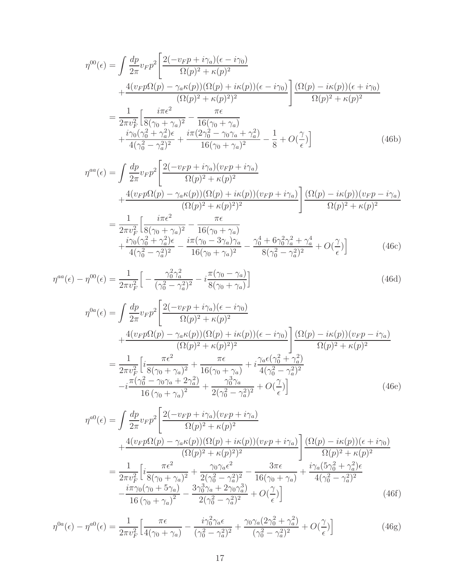$$
\eta^{00}(\epsilon) = \int \frac{dp}{2\pi} v_F p^2 \left[ \frac{2(-v_F p + i\gamma_a)(\epsilon - i\gamma_0)}{\Omega(p)^2 + \kappa(p)^2} + \frac{4(v_F p\Omega(p) - \gamma_a \kappa(p))(\Omega(p) + i\kappa(p))(\epsilon - i\gamma_0)}{(\Omega(p)^2 + \kappa(p)^2)^2} \right] \frac{(\Omega(p) - i\kappa(p))(\epsilon + i\gamma_0)}{\Omega(p)^2 + \kappa(p)^2} \n= \frac{1}{2\pi v_F^2} \left[ \frac{i\pi\epsilon^2}{8(\gamma_0 + \gamma_a)^2} - \frac{\pi\epsilon}{16(\gamma_0 + \gamma_a)} + \frac{i\gamma_0(\gamma_0^2 + \gamma_a^2)\epsilon}{4(\gamma_0^2 - \gamma_a^2)^2} + \frac{i\pi(2\gamma_0^2 - \gamma_0\gamma_a + \gamma_a^2)}{16(\gamma_0 + \gamma_a)^2} - \frac{1}{8} + O(\frac{\gamma}{\epsilon}) \right]
$$
\n(46b)

$$
\eta^{aa}(\epsilon) = \int \frac{dp}{2\pi} v_F p^2 \left[ \frac{2(-v_F p + i\gamma_a)(v_F p + i\gamma_a)}{\Omega(p)^2 + \kappa(p)^2} + \frac{4(v_F p\Omega(p) - \gamma_a \kappa(p))(\Omega(p) + i\kappa(p))(v_F p + i\gamma_a)}{(\Omega(p)^2 + \kappa(p)^2)^2} \right] \frac{(\Omega(p) - i\kappa(p))(v_F p - i\gamma_a)}{\Omega(p)^2 + \kappa(p)^2} \n= \frac{1}{2\pi v_F^2} \left[ \frac{i\pi\epsilon^2}{8(\gamma_0 + \gamma_a)^2} - \frac{\pi\epsilon}{16(\gamma_0 + \gamma_a)} + \frac{i\gamma_0(\gamma_0^2 + \gamma_a^2)\epsilon}{4(\gamma_0^2 - \gamma_a^2)^2} - \frac{i\pi(\gamma_0 - 3\gamma_a)\gamma_a}{16(\gamma_0 + \gamma_a)^2} - \frac{\gamma_0^4 + 6\gamma_0^2\gamma_a^2 + \gamma_a^4}{8(\gamma_0^2 - \gamma_a^2)^2} + O(\frac{\gamma}{\epsilon}) \right]
$$
(46c)

$$
\eta^{aa}(\epsilon) - \eta^{00}(\epsilon) = \frac{1}{2\pi v_F^2} \Big[ -\frac{\gamma_0^2 \gamma_a^2}{(\gamma_0^2 - \gamma_a^2)^2} - i \frac{\pi (\gamma_0 - \gamma_a)}{8(\gamma_0 + \gamma_a)} \Big]
$$
(46d)

$$
\eta^{0a}(\epsilon) = \int \frac{dp}{2\pi} v_F p^2 \left[ \frac{2(-v_F p + i\gamma_a)(\epsilon - i\gamma_0)}{\Omega(p)^2 + \kappa(p)^2} + \frac{4(v_F p\Omega(p) - \gamma_a \kappa(p))(\Omega(p) + i\kappa(p))(\epsilon - i\gamma_0)}{(\Omega(p)^2 + \kappa(p)^2)^2} \right] \frac{(\Omega(p) - i\kappa(p))(v_F p - i\gamma_a)}{\Omega(p)^2 + \kappa(p)^2} \n= \frac{1}{2\pi v_F^2} \left[ i \frac{\pi \epsilon^2}{8(\gamma_0 + \gamma_a)^2} + \frac{\pi \epsilon}{16(\gamma_0 + \gamma_a)} + i \frac{\gamma_a \epsilon (\gamma_0^2 + \gamma_a^2)}{4(\gamma_0^2 - \gamma_a^2)^2} \right. \n- i \frac{\pi (\gamma_0^2 - \gamma_0 \gamma_a + 2\gamma_a^2)}{16(\gamma_0 + \gamma_a)^2} + \frac{\gamma_0^3 \gamma_a}{2(\gamma_0^2 - \gamma_a^2)^2} + O(\frac{\gamma}{\epsilon}) \right]
$$
\n(46e)

$$
\eta^{a0}(\epsilon) = \int \frac{dp}{2\pi} v_F p^2 \left[ \frac{2(-v_F p + i\gamma_a)(v_F p + i\gamma_a)}{\Omega(p)^2 + \kappa(p)^2} + \frac{4(v_F p\Omega(p) - \gamma_a \kappa(p))(\Omega(p) + i\kappa(p))(v_F p + i\gamma_a)}{(\Omega(p)^2 + \kappa(p)^2)^2} \right] \frac{(\Omega(p) - i\kappa(p))(\epsilon + i\gamma_0)}{\Omega(p)^2 + \kappa(p)^2} \n= \frac{1}{2\pi v_F^2} \left[ i \frac{\pi \epsilon^2}{8(\gamma_0 + \gamma_a)^2} + \frac{\gamma_0 \gamma_a \epsilon^2}{2(\gamma_0^2 - \gamma_a^2)^2} - \frac{3\pi \epsilon}{16(\gamma_0 + \gamma_a)} + \frac{i\gamma_a (5\gamma_0^2 + \gamma_a^2)\epsilon}{4(\gamma_0^2 - \gamma_a^2)^2} - \frac{i\pi \gamma_0 (\gamma_0 + 5\gamma_a)}{16(\gamma_0 + \gamma_a)^2} - \frac{3\gamma_0^3 \gamma_a + 2\gamma_0 \gamma_a^3}{2(\gamma_0^2 - \gamma_a^2)^2} + O(\frac{\gamma}{\epsilon}) \right]
$$
\n(46f)

$$
\eta^{0a}(\epsilon) - \eta^{a0}(\epsilon) = \frac{1}{2\pi v_F^2} \left[ \frac{\pi \epsilon}{4(\gamma_0 + \gamma_a)} - \frac{i\gamma_0^2 \gamma_a \epsilon}{(\gamma_0^2 - \gamma_a^2)^2} + \frac{\gamma_0 \gamma_a (2\gamma_0^2 + \gamma_a^2)}{(\gamma_0^2 - \gamma_a^2)^2} + O(\frac{\gamma}{\epsilon}) \right]
$$
(46g)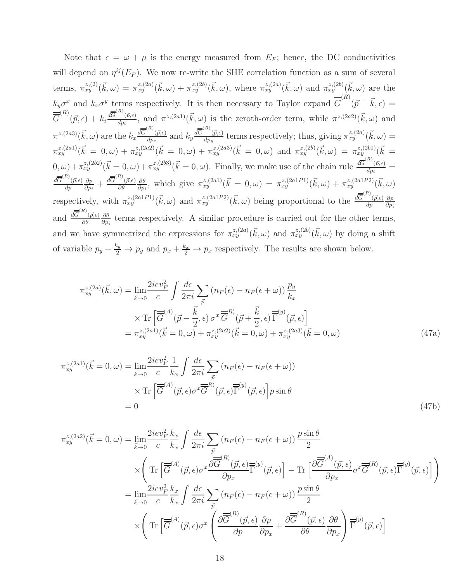Note that  $\epsilon = \omega + \mu$  is the energy measured from  $E_F$ ; hence, the DC conductivities will depend on  $\eta^{ij}(E_F)$ . We now re-write the SHE correlation function as a sum of several terms,  $\pi_{xy}^{z,(2)}(\vec{k},\omega) = \pi_{xy}^{z,(2a)}(\vec{k},\omega) + \pi_{xy}^{z,(2b)}(\vec{k},\omega)$ , where  $\pi_{xy}^{z,(2a)}(\vec{k},\omega)$  and  $\pi_{xy}^{z,(2b)}(\vec{k},\omega)$  are the  $k_y \sigma^x$  and  $k_x \sigma^y$  terms respectively. It is then necessary to Taylor expand  $\overline{\overline{G}}^{(R)}(\vec{p} + \vec{k}, \epsilon) =$  $\overline{\overline{G}}^{(R)}(\vec{p},\epsilon)+k_i\frac{d\overline{\overline{G}}^{(R)}(\vec{p},\epsilon)}{dn_i}$  $\frac{\partial \phi(\vec{p}, \epsilon)}{\partial p_i}$ , and  $\pi^{z,(2a_1)}(\vec{k}, \omega)$  is the zeroth-order term, while  $\pi^{z,(2a_2)}(\vec{k}, \omega)$  and  $\pi^{z,(2a3)}(\vec{k},\omega)$  are the  $k_x \frac{d\overline{\overline{G}}^{(R)}(\vec{p},\epsilon)}{dp_x}$  $\frac{d\overline{G}^{(R)}(\vec{p},\epsilon)}{dp_x}$  and  $k_y \frac{d\overline{\overline{G}}^{(R)}(\vec{p},\epsilon)}{dp_y}$  $\frac{\partial \vec{p}, \vec{e}}{\partial p_y}$  terms respectively; thus, giving  $\pi_{xy}^{z,(2a)}(\vec{k}, \omega) =$  $\pi_{xy}^{z,(2a1)}(\vec{k} = 0,\omega) + \pi_{xy}^{z,(2a2)}(\vec{k} = 0,\omega) + \pi_{xy}^{z,(2a3)}(\vec{k} = 0,\omega) \text{ and } \pi_{xy}^{z,(2b)}(\vec{k},\omega) = \pi_{xy}^{z,(2b1)}(\vec{k} = 0,\omega)$  $(0, \omega) + \pi_{xy}^{z,(2b2)}(\vec{k} = 0, \omega) + \pi_{xy}^{z,(2b3)}(\vec{k} = 0, \omega)$ . Finally, we make use of the chain rule  $\frac{d\overline{\overline{G}}^{(R)}(\vec{p}, \epsilon)}{d\overline{\omega}}$  $\frac{(p,\epsilon)}{dp_i} =$  $d\overline{\overline{G}}^{(R)}(\vec{p},\epsilon)$  $_{dp}$ ∂p  $\frac{\partial p}{\partial p_i}+\frac{d\overline{\overline{G}}^{(R)}(\vec{p},\epsilon)}{\partial \theta}$ ∂θ ∂θ  $\frac{\partial \theta}{\partial p_i}$ , which give  $\pi_{xy}^{z,(2a1)}(\vec{k} = 0, \omega) = \pi_{xy}^{z,(2a1P1)}(\vec{k}, \omega) + \pi_{xy}^{z,(2a1P2)}(\vec{k}, \omega)$ respectively, with  $\pi_{xy}^{z,(2a1P1)}(\vec{k},\omega)$  and  $\pi_{xy}^{z,(2a1P2)}(\vec{k},\omega)$  being proportional to the  $\frac{d\overline{G}^{(R)}(\vec{p},\epsilon)}{dn}$ dp ∂p ∂pi and  $\frac{d\overline{\overline{G}}^{(R)}(\vec{p},\epsilon)}{\partial \theta}$ ∂θ ∂θ  $\frac{\partial \theta}{\partial p_i}$  terms respectively. A similar procedure is carried out for the other terms, and we have symmetrized the expressions for  $\pi_{xy}^{z,(2a)}(\vec{k},\omega)$  and  $\pi_{xy}^{z,(2b)}(\vec{k},\omega)$  by doing a shift of variable  $p_y + \frac{k_y}{2} \to p_y$  and  $p_x + \frac{k_x}{2} \to p_x$  respectively. The results are shown below.

$$
\pi_{xy}^{z,(2a)}(\vec{k},\omega) = \lim_{\vec{k}\to 0} \frac{2ie\upsilon_F^2}{c} \int \frac{d\epsilon}{2\pi i} \sum_{\vec{p}} \left( n_F(\epsilon) - n_F(\epsilon + \omega) \right) \frac{p_y}{k_x}
$$
  
 
$$
\times \text{Tr} \left[ \overline{G}^{(A)}(\vec{p} - \frac{\vec{k}}{2}, \epsilon) \sigma^x \overline{G}^{(B)}(\vec{p} + \frac{\vec{k}}{2}, \epsilon) \overline{\Gamma}^{(y)}(\vec{p}, \epsilon) \right]
$$
  
 
$$
= \pi_{xy}^{z,(2a1)}(\vec{k} = 0, \omega) + \pi_{xy}^{z,(2a2)}(\vec{k} = 0, \omega) + \pi_{xy}^{z,(2a3)}(\vec{k} = 0, \omega)
$$
(47a)

$$
\pi_{xy}^{z,(2a1)}(\vec{k}=0,\omega) = \lim_{\vec{k}\to 0} \frac{2iev_F^2}{c} \frac{1}{k_x} \int \frac{d\epsilon}{2\pi i} \sum_{\vec{p}} (n_F(\epsilon) - n_F(\epsilon + \omega))
$$
  
× Tr  $\left[\overline{\overline{G}}^{(A)}(\vec{p}, \epsilon)\sigma^x \overline{\overline{G}}^{(B)}(\vec{p}, \epsilon)\overline{\Gamma}^{(y)}(\vec{p}, \epsilon)\right] p \sin \theta$   
= 0 (47b)

$$
\pi_{xy}^{z,(2a2)}(\vec{k}=0,\omega) = \lim_{\vec{k}\to 0} \frac{2ie\upsilon_F^2 k_x}{c k_x} \int \frac{d\epsilon}{2\pi i} \sum_{\vec{p}} (n_F(\epsilon) - n_F(\epsilon + \omega)) \frac{p \sin \theta}{2} \times \left( \text{Tr} \left[ \overline{\overline{G}}^{(A)}(\vec{p}, \epsilon) \sigma^x \frac{\partial \overline{\overline{G}}^{(R)}(\vec{p}, \epsilon)}{\partial p_x} \overline{\overline{\Gamma}}^{(y)}(\vec{p}, \epsilon) \right] - \text{Tr} \left[ \frac{\partial \overline{\overline{G}}^{(A)}(\vec{p}, \epsilon)}{\partial p_x} \sigma^x \overline{\overline{G}}^{(R)}(\vec{p}, \epsilon) \overline{\overline{\Gamma}}^{(y)}(\vec{p}, \epsilon) \right] \right) \n= \lim_{\vec{k}\to 0} \frac{2ie\upsilon_F^2 k_x}{c k_x} \int \frac{d\epsilon}{2\pi i} \sum_{\vec{p}} (n_F(\epsilon) - n_F(\epsilon + \omega)) \frac{p \sin \theta}{2} \times \left( \text{Tr} \left[ \overline{\overline{G}}^{(A)}(\vec{p}, \epsilon) \sigma^x \left( \frac{\partial \overline{\overline{G}}^{(R)}(\vec{p}, \epsilon)}{\partial p} \frac{\partial p}{\partial p_x} + \frac{\partial \overline{\overline{G}}^{(R)}(\vec{p}, \epsilon)}{\partial \theta} \frac{\partial \theta}{\partial p_x} \right) \overline{\overline{\Gamma}}^{(y)}(\vec{p}, \epsilon) \right]
$$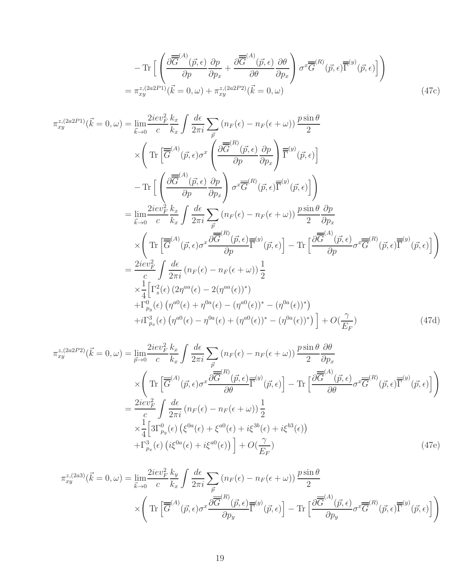$$
- \operatorname{Tr} \left[ \left( \frac{\partial \overline{\overline{G}}^{(A)}(\vec{p}, \epsilon)}{\partial p} \frac{\partial p}{\partial p_x} + \frac{\partial \overline{\overline{G}}^{(A)}(\vec{p}, \epsilon)}{\partial \theta} \frac{\partial \theta}{\partial p_x} \right) \sigma^x \overline{\overline{G}}^{(R)}(\vec{p}, \epsilon) \overline{\overline{\Gamma}}^{(y)}(\vec{p}, \epsilon) \right] \right)
$$
  
=  $\pi_{xy}^{z,(2a2P1)}(\vec{k} = 0, \omega) + \pi_{xy}^{z,(2a2P2)}(\vec{k} = 0, \omega)$  (47c)

$$
\pi_{xy}^{z,(2a2P1)}(\vec{k}=0,\omega) = \lim_{\vec{k}\to 0} \frac{2iev_F^2 k_x}{c} \int \frac{d\epsilon}{2\pi i} \sum_{\vec{p}} (n_F(\epsilon) - n_F(\epsilon + \omega)) \frac{p \sin \theta}{2}
$$
  
\n
$$
\times \left( \text{Tr} \left[ \overline{\overline{G}}^{(A)}(\vec{p}, \epsilon) \sigma^x \left( \frac{\partial \overline{\overline{G}}^{(R)}(\vec{p}, \epsilon)}{\partial p} \frac{\partial p}{\partial p_x} \right) \overline{\overline{T}}^{(y)}(\vec{p}, \epsilon) \right] - \text{Tr} \left[ \left( \frac{\partial \overline{\overline{G}}^{(A)}(\vec{p}, \epsilon)}{\partial p} \frac{\partial p}{\partial p_x} \right) \sigma^x \overline{\overline{G}}^{(R)}(\vec{p}, \epsilon) \overline{\overline{T}}^{(y)}(\vec{p}, \epsilon) \right] \right)
$$
  
\n
$$
= \lim_{\vec{k}\to 0} \frac{2iev_F^2 k_x}{c} \int \frac{d\epsilon}{2\pi i} \sum_{\vec{p}} (n_F(\epsilon) - n_F(\epsilon + \omega)) \frac{p \sin \theta}{2} \frac{\partial p}{\partial p_x}
$$
  
\n
$$
\times \left( \text{Tr} \left[ \overline{\overline{G}}^{(A)}(\vec{p}, \epsilon) \sigma^x \frac{\partial \overline{G}^{(R)}(\vec{p}, \epsilon)}{\partial p} \overline{\overline{T}}^{(y)}(\vec{p}, \epsilon) \right] - \text{Tr} \left[ \frac{\partial \overline{G}^{(A)}(\vec{p}, \epsilon)}{\partial p} \sigma^x \overline{G}^{(R)}(\vec{p}, \epsilon) \overline{\overline{T}}^{(y)}(\vec{p}, \epsilon) \right] \right)
$$
  
\n
$$
= \frac{2iev_F^2}{c} \int \frac{d\epsilon}{2\pi i} (n_F(\epsilon) - n_F(\epsilon + \omega)) \frac{1}{2}
$$
  
\n
$$
\times \frac{1}{4} \left[ \Gamma_s^2(\epsilon) (2\eta^{aa}(\epsilon) - 2(\eta^{aa}(\epsilon))^*) - (\eta^{0a}(\epsilon))^* \right)
$$
  
\n
$$
+ \Gamma_{p_y}^0(\epsilon) (\eta^{a0}(\epsilon) + \eta^{0a
$$

$$
\pi_{xy}^{z,(2a2P2)}(\vec{k}=0,\omega) = \lim_{\vec{p}\to 0} \frac{2iev_F^2 k_x}{c} \int \frac{d\epsilon}{2\pi i} \sum_{\vec{p}} (n_F(\epsilon) - n_F(\epsilon+\omega)) \frac{p\sin\theta}{2} \frac{\partial\theta}{\partial p_x}
$$
  
\n
$$
\times \left( \text{Tr} \left[ \overline{\overline{G}}^{(A)}(\vec{p},\epsilon) \sigma^x \frac{\partial \overline{G}^{(R)}(\vec{p},\epsilon)}{\partial \theta} \overline{\overline{\Gamma}}^{(y)}(\vec{p},\epsilon) \right] - \text{Tr} \left[ \frac{\partial \overline{G}^{(A)}(\vec{p},\epsilon)}{\partial \theta} \sigma^x \overline{\overline{G}}^{(R)}(\vec{p},\epsilon) \overline{\overline{\Gamma}}^{(y)}(\vec{p},\epsilon) \right] \right)
$$
  
\n
$$
= \frac{2iev_F^2}{c} \int \frac{d\epsilon}{2\pi i} (n_F(\epsilon) - n_F(\epsilon+\omega)) \frac{1}{2}
$$
  
\n
$$
\times \frac{1}{4} \left[ 3\Gamma_{p_y}^0(\epsilon) \left( \xi^{0a}(\epsilon) + \xi^{a0}(\epsilon) \right) + i\xi^{3b}(\epsilon) + i\xi^{b3}(\epsilon) \right)
$$
  
\n
$$
+ \Gamma_{p_x}^3(\epsilon) \left( i\xi^{0a}(\epsilon) + i\xi^{a0}(\epsilon) \right) \right] + O(\frac{\gamma}{E_F})
$$
(47e)

$$
\pi_{xy}^{z,(2a3)}(\vec{k}=0,\omega) = \lim_{\vec{k}\to 0} \frac{2iev_F^2 k_y}{c} \int \frac{d\epsilon}{2\pi i} \sum_{\vec{p}} (n_F(\epsilon) - n_F(\epsilon + \omega)) \frac{p \sin \theta}{2} \times \left( \text{Tr} \left[ \overline{\overline{G}}^{(A)}(\vec{p}, \epsilon) \sigma^x \frac{\partial \overline{\overline{G}}^{(R)}(\vec{p}, \epsilon)}{\partial p_y} \overline{\overline{\Gamma}}^{(y)}(\vec{p}, \epsilon) \right] - \text{Tr} \left[ \frac{\partial \overline{\overline{G}}^{(A)}(\vec{p}, \epsilon)}{\partial p_y} \sigma^x \overline{\overline{G}}^{(R)}(\vec{p}, \epsilon) \overline{\overline{\Gamma}}^{(y)}(\vec{p}, \epsilon) \right] \right)
$$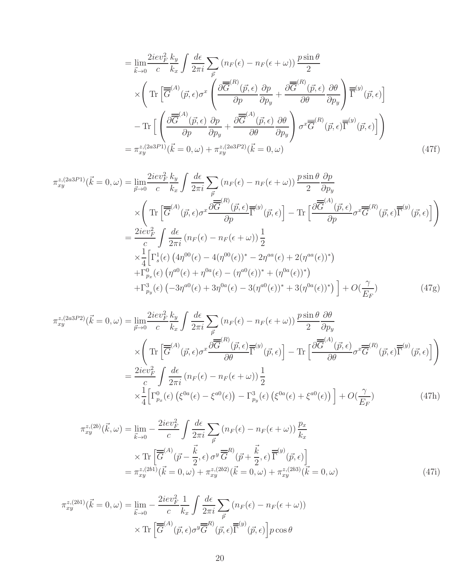$$
= \lim_{\vec{k}\to 0} \frac{2iev_F^2 k_y}{c} \int \frac{d\epsilon}{2\pi i} \sum_{\vec{p}} (n_F(\epsilon) - n_F(\epsilon + \omega)) \frac{p \sin \theta}{2}
$$
  
\n
$$
\times \left( \text{Tr} \left[ \overline{\overline{G}}^{(A)}(\vec{p}, \epsilon) \sigma^x \left( \frac{\partial \overline{\overline{G}}^{(R)}(\vec{p}, \epsilon)}{\partial p} \frac{\partial p}{\partial p_y} + \frac{\partial \overline{\overline{G}}^{(R)}(\vec{p}, \epsilon)}{\partial \theta} \frac{\partial \theta}{\partial p_y} \right) \overline{\overline{\Gamma}}^{(y)}(\vec{p}, \epsilon) \right]
$$
  
\n
$$
- \text{Tr} \left[ \left( \frac{\partial \overline{\overline{G}}^{(A)}(\vec{p}, \epsilon)}{\partial p} \frac{\partial p}{\partial p_y} + \frac{\partial \overline{\overline{G}}^{(A)}(\vec{p}, \epsilon)}{\partial \theta} \frac{\partial \theta}{\partial p_y} \right) \sigma^x \overline{\overline{G}}^{(R)}(\vec{p}, \epsilon) \overline{\overline{\Gamma}}^{(y)}(\vec{p}, \epsilon) \right] \right)
$$
  
\n
$$
= \pi_{xy}^{z,(2a3P1)}(\vec{k} = 0, \omega) + \pi_{xy}^{z,(2a3P2)}(\vec{k} = 0, \omega)
$$
 (47f)

$$
\pi_{xy}^{z,(2a3P1)}(\vec{k}=0,\omega) = \lim_{\vec{p}\to 0} \frac{2ie v_F^2 k_y}{c} \int \frac{d\epsilon}{2\pi i} \sum_{\vec{p}} (n_F(\epsilon) - n_F(\epsilon + \omega)) \frac{p \sin \theta}{2} \frac{\partial p}{\partial p_y} \times \left( \text{Tr} \left[ \overline{G}^{(A)}(\vec{p}, \epsilon) \sigma^x \frac{\partial \overline{G}^{(R)}(\vec{p}, \epsilon)}{\partial p} \overline{\Gamma}^{(y)}(\vec{p}, \epsilon) \right] - \text{Tr} \left[ \frac{\partial \overline{G}^{(A)}(\vec{p}, \epsilon)}{\partial p} \sigma^x \overline{G}^{(R)}(\vec{p}, \epsilon) \overline{\Gamma}^{(y)}(\vec{p}, \epsilon) \right] \right) \n= \frac{2ie v_F^2}{c} \int \frac{d\epsilon}{2\pi i} (n_F(\epsilon) - n_F(\epsilon + \omega)) \frac{1}{2} \times \frac{1}{4} \left[ \Gamma_s^1(\epsilon) (4\eta^{00}(\epsilon) - 4(\eta^{00}(\epsilon))^* - 2\eta^{aa}(\epsilon) + 2(\eta^{aa}(\epsilon))^* \right) \n+ \Gamma_{p_x}^0(\epsilon) (\eta^{a0}(\epsilon) + \eta^{0a}(\epsilon) - (\eta^{a0}(\epsilon))^* + (\eta^{0a}(\epsilon))^* \right) \n+ \Gamma_{p_y}^3(\epsilon) (-3\eta^{a0}(\epsilon) + 3\eta^{0a}(\epsilon) - 3(\eta^{a0}(\epsilon))^* + 3(\eta^{0a}(\epsilon))^*) \Big] + O(\frac{\gamma}{E_F})
$$
\n(47g)

$$
\pi_{xy}^{z,(2a3P2)}(\vec{k}=0,\omega) = \lim_{\vec{p}\to 0} \frac{2iev_F^2 k_y}{c} \int \frac{d\epsilon}{2\pi i} \sum_{\vec{p}} (n_F(\epsilon) - n_F(\epsilon + \omega)) \frac{p \sin\theta}{2} \frac{\partial\theta}{\partial p_y}
$$
  
\n
$$
\times \left( \text{Tr} \left[ \overline{\overline{G}}^{(A)}(\vec{p}, \epsilon) \sigma^x \frac{\partial \overline{G}^{(R)}(\vec{p}, \epsilon)}{\partial \theta} \overline{\overline{\Gamma}}^{(y)}(\vec{p}, \epsilon) \right] - \text{Tr} \left[ \frac{\partial \overline{\overline{G}}^{(A)}(\vec{p}, \epsilon)}{\partial \theta} \sigma^x \overline{\overline{G}}^{(R)}(\vec{p}, \epsilon) \overline{\overline{\Gamma}}^{(y)}(\vec{p}, \epsilon) \right] \right)
$$
  
\n
$$
= \frac{2iev_F^2}{c} \int \frac{d\epsilon}{2\pi i} (n_F(\epsilon) - n_F(\epsilon + \omega)) \frac{1}{2}
$$
  
\n
$$
\times \frac{1}{4} \left[ \Gamma_{p_x}^0(\epsilon) \left( \xi^{0a}(\epsilon) - \xi^{a0}(\epsilon) \right) - \Gamma_{p_y}^3(\epsilon) \left( \xi^{0a}(\epsilon) + \xi^{a0}(\epsilon) \right) \right] + O(\frac{\gamma}{E_F}) \tag{47h}
$$

$$
\pi_{xy}^{z,(2b)}(\vec{k},\omega) = \lim_{\vec{k}\to 0} -\frac{2iev_F^2}{c} \int \frac{d\epsilon}{2\pi i} \sum_{\vec{p}} (n_F(\epsilon) - n_F(\epsilon + \omega)) \frac{p_x}{k_x}
$$

$$
\times \text{Tr}\left[\overline{\overline{G}}^{(A)}(\vec{p} - \frac{\vec{k}}{2}, \epsilon) \sigma^y \overline{\overline{G}}^{(B)}(\vec{p} + \frac{\vec{k}}{2}, \epsilon) \overline{\overline{\Gamma}}^{(y)}(\vec{p}, \epsilon)\right]
$$

$$
= \pi_{xy}^{z,(2b1)}(\vec{k} = 0, \omega) + \pi_{xy}^{z,(2b2)}(\vec{k} = 0, \omega) + \pi_{xy}^{z,(2b3)}(\vec{k} = 0, \omega)
$$
(47i)

$$
\pi_{xy}^{z,(2b1)}(\vec{k}=0,\omega) = \lim_{\vec{k}\to 0} -\frac{2iev_F^2}{c}\frac{1}{k_x} \int \frac{d\epsilon}{2\pi i} \sum_{\vec{p}} (n_F(\epsilon) - n_F(\epsilon + \omega))
$$

$$
\times \text{Tr}\left[\overline{\overline{G}}^{(A)}(\vec{p}, \epsilon)\sigma^y \overline{\overline{G}}^{(B)}(\vec{p}, \epsilon)\overline{\overline{\Gamma}}^{(y)}(\vec{p}, \epsilon)\right] p\cos\theta
$$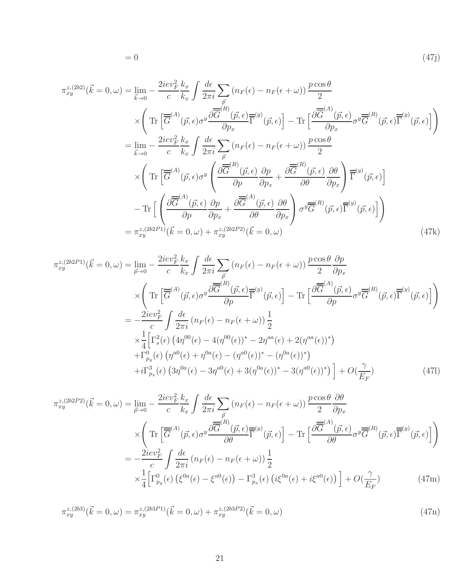$$
\pi_{xy}^{z,(2b2)}(\vec{k}=0,\omega) = \lim_{\vec{k}\to 0} -\frac{2iev_F^2 k_x}{c} \int \frac{d\epsilon}{2\pi i} \sum_{\vec{p}} (n_F(\epsilon) - n_F(\epsilon + \omega)) \frac{p\cos\theta}{2} \times \left( \text{Tr}\left[\overline{G}^{(A)}(\vec{p},\epsilon)\sigma^y \frac{\partial\overline{G}^{(R)}(\vec{p},\epsilon)}{\partial p_x}\overline{\Gamma}^{(y)}(\vec{p},\epsilon) \right] - \text{Tr}\left[\frac{\partial\overline{G}^{(A)}(\vec{p},\epsilon)}{\partial p_x}\sigma^y \overline{G}^{(R)}(\vec{p},\epsilon)\overline{\Gamma}^{(y)}(\vec{p},\epsilon) \right] \right) \n= \lim_{\vec{k}\to 0} -\frac{2iev_F^2 k_x}{c} \int \frac{d\epsilon}{2\pi i} \sum_{\vec{p}} (n_F(\epsilon) - n_F(\epsilon + \omega)) \frac{p\cos\theta}{2} \times \left( \text{Tr}\left[\overline{G}^{(A)}(\vec{p},\epsilon)\sigma^y \left(\frac{\partial\overline{G}^{(R)}(\vec{p},\epsilon)}{\partial p}\frac{\partial p_x}{\partial p_x} + \frac{\partial\overline{G}^{(R)}(\vec{p},\epsilon)}{\partial \theta}\frac{\partial \theta}{\partial p_x}\right) \overline{\Gamma}^{(y)}(\vec{p},\epsilon) \right] \n- \text{Tr}\left[\left(\frac{\partial\overline{G}^{(A)}(\vec{p},\epsilon)}{\partial p}\frac{\partial p_x}{\partial p_x} + \frac{\partial\overline{G}^{(A)}(\vec{p},\epsilon)}{\partial \theta}\frac{\partial \theta}{\partial p_x}\right) \sigma^y \overline{G}^{(R)}(\vec{p},\epsilon) \overline{\Gamma}^{(y)}(\vec{p},\epsilon) \right] \n= \pi_{xy}^{z,(2b2P1)}(\vec{k}=0,\omega) + \pi_{xy}^{z,(2b2P2)}(\vec{k}=0,\omega)
$$
\n(47k)

 $= 0$  (47j)

$$
\pi_{xy}^{z,(2b2P1)}(\vec{k}=0,\omega) = \lim_{\vec{p}\to 0} -\frac{2iev_{F}^{2}}{c}\frac{k_{x}}{k_{x}}\int \frac{d\epsilon}{2\pi i} \sum_{\vec{p}}\left(n_{F}(\epsilon)-n_{F}(\epsilon+\omega)\right)\frac{p\cos\theta}{2}\frac{\partial p}{\partial p_{x}}\n\times \left(\text{Tr}\left[\overline{\overline{G}}^{(A)}(\vec{p},\epsilon)\sigma^{y}\frac{\partial\overline{G}^{(R)}(\vec{p},\epsilon)}{\partial p}\overline{\overline{G}}^{(B)}(\vec{p},\epsilon)\right]-\text{Tr}\left[\frac{\partial\overline{G}^{(A)}(\vec{p},\epsilon)}{\partial p}\sigma^{y}\overline{G}^{(R)}(\vec{p},\epsilon)\overline{\overline{\Gamma}}^{(y)}(\vec{p},\epsilon)\right]\right)\n\t= -\frac{2iev_{F}^{2}}{c}\int \frac{d\epsilon}{2\pi i}\left(n_{F}(\epsilon)-n_{F}(\epsilon+\omega)\right)\frac{1}{2}\n\times \frac{1}{4}\left[\Gamma_{s}^{2}(\epsilon)\left(4\eta^{00}(\epsilon)-4(\eta^{00}(\epsilon))^{*}-2\eta^{aa}(\epsilon)+2(\eta^{aa}(\epsilon))^{*}\right)\n+ \Gamma_{p_{y}}^{0}(\epsilon)\left(\eta^{a0}(\epsilon)+\eta^{0a}(\epsilon)-(\eta^{a0}(\epsilon))^{*}-(\eta^{0a}(\epsilon))^{*}\right)\n+ i\Gamma_{p_{x}}^{3}(\epsilon)\left(3\eta^{0a}(\epsilon)-3\eta^{a0}(\epsilon)+3(\eta^{0a}(\epsilon))^{*}-3(\eta^{a0}(\epsilon))^{*}\right)\right] + O(\frac{\gamma}{E_{F}})
$$
\n(471)

$$
\pi_{xy}^{z,(2b2P2)}(\vec{k}=0,\omega) = \lim_{\vec{p}\to 0} -\frac{2iev_F^2 k_x}{c} \int \frac{d\epsilon}{2\pi i} \sum_{\vec{p}} (n_F(\epsilon) - n_F(\epsilon + \omega)) \frac{p\cos\theta}{2} \frac{\partial\theta}{\partial p_x}
$$
  
\n
$$
\times \left( \text{Tr} \left[ \overline{\overline{G}}^{(A)}(\vec{p}, \epsilon) \sigma^y \frac{\partial \overline{G}^{(R)}(\vec{p}, \epsilon)}{\partial \theta} \overline{\overline{G}}^{(B)}(\vec{p}, \epsilon) \right] - \text{Tr} \left[ \frac{\partial \overline{G}^{(A)}(\vec{p}, \epsilon)}{\partial \theta} \sigma^y \overline{\overline{G}}^{(R)}(\vec{p}, \epsilon) \overline{\overline{\Gamma}}^{(y)}(\vec{p}, \epsilon) \right] \right)
$$
  
\n
$$
= -\frac{2iev_F^2}{c} \int \frac{d\epsilon}{2\pi i} (n_F(\epsilon) - n_F(\epsilon + \omega)) \frac{1}{2}
$$
  
\n
$$
\times \frac{1}{4} \left[ \Gamma_{p_y}^0(\epsilon) \left( \xi^{0a}(\epsilon) - \xi^{a0}(\epsilon) \right) - \Gamma_{p_x}^3(\epsilon) \left( i\xi^{0a}(\epsilon) + i\xi^{a0}(\epsilon) \right) \right] + O(\frac{\gamma}{E_F}) \tag{47m}
$$

$$
\pi_{xy}^{z,(2b3)}(\vec{k}=0,\omega) = \pi_{xy}^{z,(2b3P1)}(\vec{k}=0,\omega) + \pi_{xy}^{z,(2b3P2)}(\vec{k}=0,\omega)
$$
\n(47n)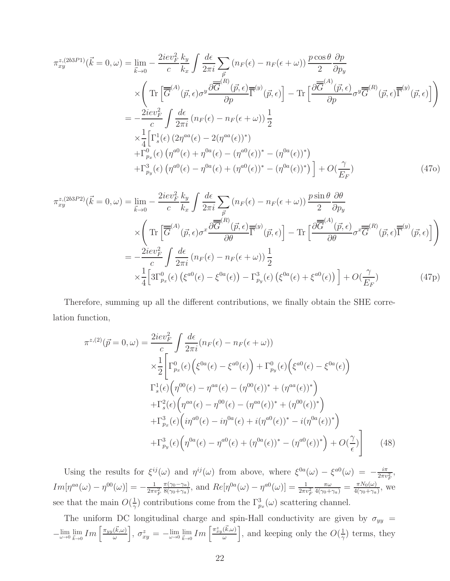$$
\pi_{xy}^{z,(2b3P1)}(\vec{k}=0,\omega) = \lim_{\vec{k}\to 0} -\frac{2iev_{F}^{2}}{c}\frac{k_{y}}{k_{x}}\int \frac{d\epsilon}{2\pi i} \sum_{\vec{p}}\left(n_{F}(\epsilon)-n_{F}(\epsilon+\omega)\right)\frac{p\cos\theta}{2}\frac{\partial p}{\partial p_{y}}\n\times \left(\text{Tr}\left[\overline{G}^{(A)}(\vec{p},\epsilon)\sigma^{y}\frac{\partial\overline{G}^{(R)}(\vec{p},\epsilon)}{\partial p}\overline{\Gamma}^{(y)}(\vec{p},\epsilon)\right]-\text{Tr}\left[\frac{\partial\overline{G}^{(A)}(\vec{p},\epsilon)}{\partial p}\sigma^{y}\overline{G}^{(R)}(\vec{p},\epsilon)\overline{\Gamma}^{(y)}(\vec{p},\epsilon)\right]\right)\n= -\frac{2iev_{F}^{2}}{c}\int \frac{d\epsilon}{2\pi i}\left(n_{F}(\epsilon)-n_{F}(\epsilon+\omega)\right)\frac{1}{2}\n\times \frac{1}{4}\left[\Gamma_{s}^{1}(\epsilon)\left(2\eta^{aa}(\epsilon)-2(\eta^{aa}(\epsilon))^{*}\right)\n+ \Gamma_{p_{x}}^{0}(\epsilon)\left(\eta^{a0}(\epsilon)+\eta^{0a}(\epsilon)-(\eta^{a0}(\epsilon))^{*}-(\eta^{0a}(\epsilon))^{*}\right)\right]+O(\frac{\gamma}{E_{F}})
$$
\n(47o)

$$
\pi_{xy}^{z,(2b3P2)}(\vec{k}=0,\omega) = \lim_{\vec{k}\to 0} -\frac{2iev_F^2 k_y}{c} \int \frac{d\epsilon}{2\pi i} \sum_{\vec{p}} (n_F(\epsilon) - n_F(\epsilon + \omega)) \frac{p \sin \theta}{2} \frac{\partial \theta}{\partial p_y}
$$
  
\n
$$
\times \left( \text{Tr} \left[ \overline{\overline{G}}^{(A)}(\vec{p}, \epsilon) \sigma^x \frac{\partial \overline{G}^{(R)}(\vec{p}, \epsilon)}{\partial \theta} \overline{\overline{\Gamma}}^{(y)}(\vec{p}, \epsilon) \right] - \text{Tr} \left[ \frac{\partial \overline{\overline{G}}^{(A)}(\vec{p}, \epsilon)}{\partial \theta} \sigma^x \overline{\overline{G}}^{(R)}(\vec{p}, \epsilon) \overline{\overline{\Gamma}}^{(y)}(\vec{p}, \epsilon) \right] \right)
$$
  
\n
$$
= -\frac{2iev_F^2}{c} \int \frac{d\epsilon}{2\pi i} (n_F(\epsilon) - n_F(\epsilon + \omega)) \frac{1}{2}
$$
  
\n
$$
\times \frac{1}{4} \left[ 3\Gamma_{px}^0(\epsilon) \left( \xi^{a0}(\epsilon) - \xi^{0a}(\epsilon) \right) - \Gamma_{py}^3(\epsilon) \left( \xi^{0a}(\epsilon) + \xi^{a0}(\epsilon) \right) \right] + O(\frac{\gamma}{E_F}) \tag{47p}
$$

Therefore, summing up all the different contributions, we finally obtain the SHE correlation function,

$$
\pi^{z,(2)}(\vec{p}=0,\omega) = \frac{2iev_F^2}{c} \int \frac{d\epsilon}{2\pi i} (n_F(\epsilon) - n_F(\epsilon + \omega))
$$
  
\n
$$
\times \frac{1}{2} \left[ \Gamma^0_{p_x}(\epsilon) \left( \xi^{0a}(\epsilon) - \xi^{a0}(\epsilon) \right) + \Gamma^0_{p_y}(\epsilon) \left( \xi^{a0}(\epsilon) - \xi^{0a}(\epsilon) \right) \right]
$$
  
\n
$$
\Gamma^1_s(\epsilon) \left( \eta^{00}(\epsilon) - \eta^{aa}(\epsilon) - (\eta^{00}(\epsilon))^* + (\eta^{aa}(\epsilon))^* \right)
$$
  
\n
$$
+ \Gamma^2_s(\epsilon) \left( \eta^{aa}(\epsilon) - \eta^{00}(\epsilon) - (\eta^{aa}(\epsilon))^* + (\eta^{00}(\epsilon))^* \right)
$$
  
\n
$$
+ \Gamma^3_{p_x}(\epsilon) \left( i\eta^{a0}(\epsilon) - i\eta^{0a}(\epsilon) + i(\eta^{a0}(\epsilon))^* - i(\eta^{0a}(\epsilon))^* \right)
$$
  
\n
$$
+ \Gamma^3_{p_y}(\epsilon) \left( \eta^{0a}(\epsilon) - \eta^{a0}(\epsilon) + (\eta^{0a}(\epsilon))^* - (\eta^{a0}(\epsilon))^* \right) + O(\frac{\gamma}{\epsilon}) \right]
$$
(48)

Using the results for  $\xi^{ij}(\omega)$  and  $\eta^{ij}(\omega)$  from above, where  $\xi^{0a}(\omega) - \xi^{a0}(\omega) = -\frac{i\pi}{2\pi v_F^2}$ ,  $Im[\eta^{aa}(\omega) - \eta^{00}(\omega)] = -\frac{1}{2\pi v_F^2}$  $\frac{\pi(\gamma_0 - \gamma_a)}{8(\gamma_0 + \gamma_a)}$ , and  $Re[\eta^{0a}(\omega) - \eta^{a0}(\omega)] = \frac{1}{2\pi v_F^2}$  $\frac{\pi\omega}{4(\gamma_0+\gamma_a)}=\frac{\pi N_0(\omega)}{4(\gamma_0+\gamma_a)}$  $\frac{\pi N_0(\omega)}{4(\gamma_0+\gamma_a)},$  we see that the main  $O(\frac{1}{\gamma})$  $(\frac{1}{\gamma})$  contributions come from the  $\Gamma^3_{p_x}(\omega)$  scattering channel.

The uniform DC longitudinal charge and spin-Hall conductivity are given by  $\sigma_{yy}$  =  $-\lim_{\omega\to 0}\lim_{\vec{k}\to 0}$  $\lim_{\vec{k}\to 0} Im\left[\frac{\pi_{yy}(\vec{k},\omega)}{\omega}\right]$  $\left. \frac{(\vec{k}, \omega)}{\omega} \right], \ \sigma^z_{xy} \, = \, - \lim\limits_{\omega \to 0} \, \lim\limits_{\vec{k} \to 0}$  $\lim_{\vec{k}\to 0} Im\left[\frac{\pi_{xy}^z(\vec{k},\omega)}{\omega}\right]$  $\left(\frac{k,\omega}{\omega}\right)$ , and keeping only the  $O(\frac{1}{\gamma})$  $(\frac{1}{\gamma})$  terms, they